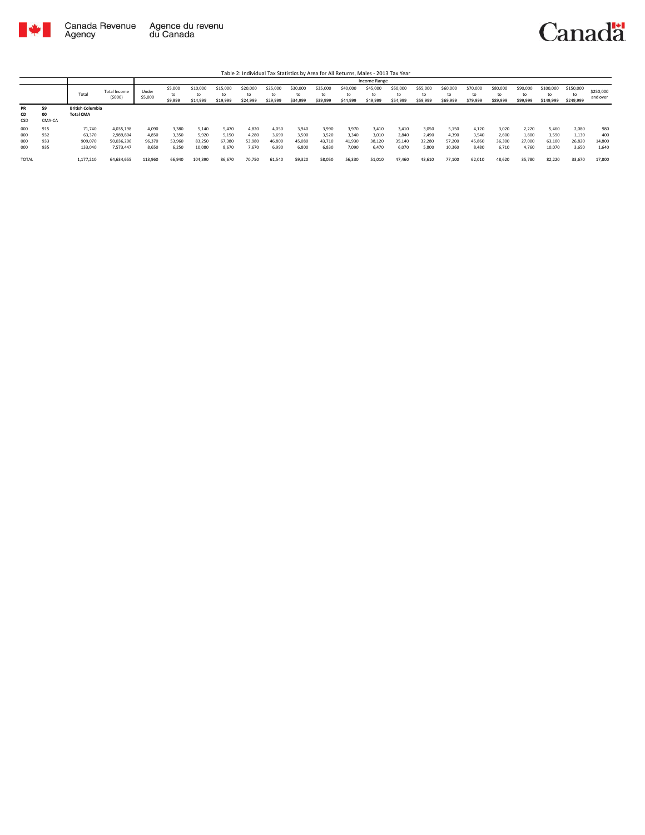

|                          |                          |                                             |                                                   |                                   |                                   |                                    |                                   |                                   |                                   |                                   |                                   |                                   | Income Range                      |                                   |                                   |                                    |                                   |                                   |                                   |                                    |                                   |                               |
|--------------------------|--------------------------|---------------------------------------------|---------------------------------------------------|-----------------------------------|-----------------------------------|------------------------------------|-----------------------------------|-----------------------------------|-----------------------------------|-----------------------------------|-----------------------------------|-----------------------------------|-----------------------------------|-----------------------------------|-----------------------------------|------------------------------------|-----------------------------------|-----------------------------------|-----------------------------------|------------------------------------|-----------------------------------|-------------------------------|
|                          |                          | Tota                                        | Total Income<br>(5000)                            | Under<br>\$5,000                  | \$5,000<br>to<br>\$9,999          | \$10,000<br>to<br>\$14,999         | \$15,000<br>to<br>\$19,999        | \$20,000<br>to<br>\$24,999        | \$25,000<br>to<br>\$29,999        | \$30,000<br>\$34,999              | \$35,000<br>to<br>\$39,999        | \$40,000<br>to<br>\$44,999        | \$45,000<br>to<br>\$49,999        | \$50,000<br>to<br>\$54,999        | \$55,000<br>\$59,999              | \$60,000<br>\$69,999               | \$70,000<br>to<br>\$79,999        | \$80,000<br>to<br>\$89,999        | \$90,000<br>to<br>\$99,999        | \$100,000<br>to<br>\$149,999       | \$150,000<br>\$249,999            | \$250,000<br>and over         |
| <b>PR</b><br>CD<br>CSD   | 59<br>00<br>CMA-CA       | <b>British Columbia</b><br><b>Total CMA</b> |                                                   |                                   |                                   |                                    |                                   |                                   |                                   |                                   |                                   |                                   |                                   |                                   |                                   |                                    |                                   |                                   |                                   |                                    |                                   |                               |
| 000<br>000<br>000<br>000 | 915<br>932<br>933<br>935 | 71,740<br>63,370<br>909,070<br>133,040      | 4,035,198<br>2.989.804<br>50,036,206<br>7,573,447 | 4,090<br>4,850<br>96,370<br>8,650 | 3.380<br>3.350<br>53,960<br>6,250 | 5.140<br>5.920<br>83,250<br>10,080 | 5.470<br>5,150<br>67,380<br>8,670 | 4.820<br>4.280<br>53,980<br>7,670 | 4,050<br>3,690<br>46,800<br>6,990 | 3,940<br>3,500<br>45,080<br>6,800 | 3,990<br>3.520<br>43.710<br>6,830 | 3,970<br>3.340<br>41,930<br>7,090 | 3.410<br>3.010<br>38.120<br>6.470 | 3.410<br>2,840<br>35,140<br>6,070 | 3.050<br>2.490<br>32.280<br>5,800 | 5,150<br>4.390<br>57,200<br>10,360 | 4.120<br>3.540<br>45,860<br>8,480 | 3.020<br>2.600<br>36,300<br>6.710 | 2,220<br>1,800<br>27,000<br>4,760 | 5.460<br>3.590<br>63,100<br>10,070 | 2,080<br>1,130<br>26,820<br>3,650 | 980<br>400<br>14,800<br>1,640 |
| <b>TOTAL</b>             |                          | 1,177,210                                   | 64,634,655                                        | 113,960                           | 66,940                            | 104,390                            | 86,670                            | 70.750                            | 61,540                            | 59,320                            | 58,050                            | 56,330                            | 51,010                            | 47,460                            | 43.610                            | 77,100                             | 62,010                            | 48,620                            | 35,780                            | 82.220                             | 33,670                            | 17,800                        |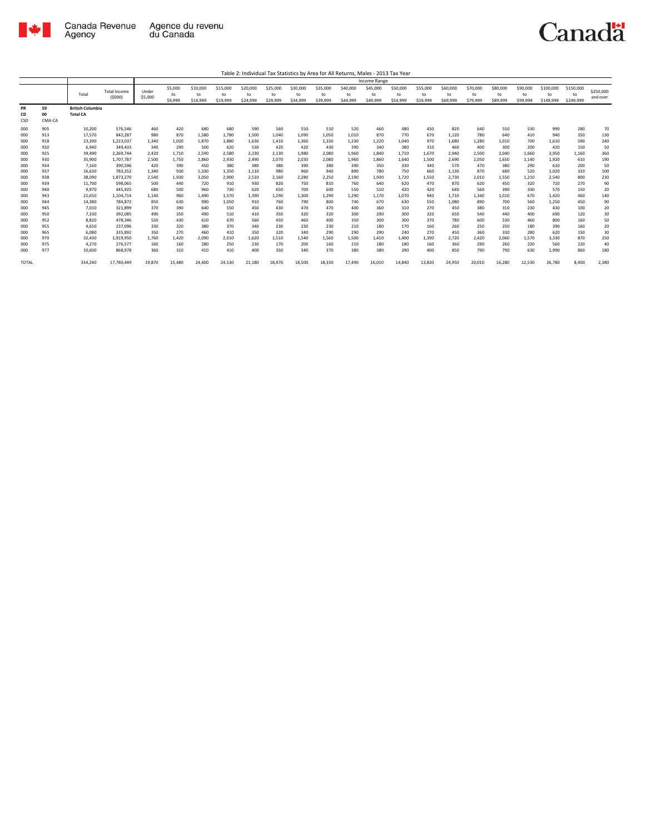

|                        |                    |                                            |                      |              |               |                |                |                |                |                |                |                | <b>Income Range</b> |                |                |                |                |                |                |                 |                 |           |
|------------------------|--------------------|--------------------------------------------|----------------------|--------------|---------------|----------------|----------------|----------------|----------------|----------------|----------------|----------------|---------------------|----------------|----------------|----------------|----------------|----------------|----------------|-----------------|-----------------|-----------|
|                        |                    | Total                                      | <b>Total Income</b>  | Under        | \$5,000<br>to | \$10,000<br>to | \$15,000<br>to | \$20,000<br>to | \$25,000<br>to | \$30,000<br>to | \$35,000<br>to | \$40,000<br>to | \$45,000<br>to      | \$50,000<br>to | \$55,000<br>to | \$60,000<br>to | \$70,000<br>to | \$80,000<br>to | \$90,000<br>to | \$100,000<br>to | \$150,000<br>to | \$250,000 |
|                        |                    |                                            | (5000)               | \$5,000      | \$9,999       | \$14,999       | \$19,999       | \$24,999       | \$29,999       | \$34,999       | \$39,999       | \$44,999       | \$49,999            | \$54,999       | \$59,999       | \$69,999       | \$79,999       | \$89,999       | \$99,999       | \$149,999       | \$249.999       | and over  |
| <b>PR</b><br>CD<br>CSD | 59<br>00<br>CMA-CA | <b>British Columbia</b><br><b>Total CA</b> |                      |              |               |                |                |                |                |                |                |                |                     |                |                |                |                |                |                |                 |                 |           |
| 000                    | 905                | 10,200                                     | 576,546              | 460          | 420           | 680            | 680            | 590            | 560            | 550            | 510            | 520            | 460                 | 480            | 430            | 820            | 640            | 550            | 530            | 990             | 280             | 70        |
| 000                    | 913                | 17,570                                     | 842,287              | 980          | 870           | 1,580          | 1,780          | 1,500          | 1,040          | 1,090          | 1,050          | 1,010          | 870                 | 770            | 670            | 1,120          | 780            | 640            | 410            | 940             | 350             | 130       |
| 000<br>000             | 918<br>920         | 23,390<br>6,940                            | 1,223,037<br>349,433 | 1,340<br>340 | 1,020<br>290  | 1,870<br>500   | 1,880<br>620   | 1,630<br>530   | 1,410<br>420   | 1,360<br>420   | 1,330<br>430   | 1,230<br>390   | 1,220<br>340        | 1,040<br>380   | 970<br>310     | 1,680<br>460   | 1,280<br>400   | 1,010<br>300   | 700<br>200     | 1,610<br>420    | 590<br>150      | 240<br>50 |
| 000                    | 925                | 39,490                                     | 2.269.744            | 2.420        | 1,710         | 2,590          | 2,580          | 2,230          | 2,130          | 1,980          | 2,080          | 1,960          | 1.840               | 1,710          | 1.670          | 2,940          | 2,500          | 2.040          | 1,660          | 3.950           | 1.160           | 360       |
| 000                    | 930                | 35,900                                     | 1,707,787            | 2,500        | 1,750         | 2,860          | 2,930          | 2,490          | 2,070          | 2,030          | 2,080          | 1,960          | 1,860               | 1,640          | 1,500          | 2,690          | 2,050          | 1,650          | 1,140          | 1,920           | 610             | 190       |
| 000                    | 934                | 7,160                                      | 390,596              | 420          | 390           | 450            | 380            | 380            | 380            | 390            | 380            | 390            | 350                 | 330            | 340            | 570            | 470            | 380            | 290            | 610             | 200             | 50        |
| 000                    | 937                | 16,630                                     | 783,352              | 1,340        | 930           | 1,330          | 1,350          | 1,110          | 980            | 960            | 940            | 890            | 780                 | 750            | 660            | 1,130          | 870            | 680            | 520            | 1,020           | 310             | 100       |
| 000<br>000             | 938<br>939         | 38,090<br>11,700                           | 1,873,270<br>598,065 | 2,540<br>500 | 1,930<br>440  | 3,050<br>720   | 2,900<br>910   | 2,510<br>930   | 2,160<br>820   | 2,280<br>750   | 2,250<br>810   | 2,190<br>760   | 1,930<br>640        | 1,720<br>620   | 1,550<br>470   | 2,730<br>870   | 2,010<br>620   | 1,550<br>450   | 1,210<br>320   | 2,540<br>720    | 800<br>270      | 230<br>90 |
| 000                    | 940                | 9,970                                      | 445.925              | 680          | 500           | 960            | 730            | 620            | 650            | 700            | 600            | 550            | 510                 | 420            | 420            | 640            | 560            | 390            | 330            | 570             | 150             | 20        |
| 000                    | 943                | 21,650                                     | 1,104,714            | 1,140        | 960           | 1,490          | 1,570          | 1,390          | 1,290          | 1,300          | 1,290          | 1,290          | 1,170               | 1,070          | 940            | 1,710          | 1,340          | 1,010          | 670            | 1,420           | 460             | 140       |
| 000                    | 944                | 14,380                                     | 784,872              | 850          | 630           | 990            | 1,050          | 910            | 760            | 790            | 800            | 740            | 670                 | 630            | 550            | 1,080          | 890            | 700            | 560            | 1,250           | 450             | 90        |
| 000                    | 945<br>950         | 7,010                                      | 321,899              | 370          | 390           | 640<br>490     | 550            | 450            | 430<br>350     | 470            | 470            | 400            | 360<br>290          | 310            | 270            | 450            | 380            | 310<br>440     | 230            | 430<br>690      | 100             | 20        |
| 000<br>000             | 952                | 7,330<br>8.820                             | 392,085<br>478,346   | 490<br>550   | 350<br>430    | 610            | 510<br>670     | 410<br>560     | 450            | 320<br>460     | 320<br>400     | 300<br>350     | 300                 | 300<br>300     | 320<br>370     | 650<br>780     | 540<br>600     | 530            | 400<br>460     | 800             | 120<br>160      | 30<br>50  |
| 000                    | 955                | 4,650                                      | 237,096              | 330          | 320           | 380            | 370            | 340            | 230            | 230            | 230            | 210            | 180                 | 170            | 160            | 260            | 250            | 250            | 180            | 390             | 160             | 20        |
| 000                    | 965                | 6,080                                      | 335,892              | 350          | 270           | 460            | 410            | 350            | 320            | 340            | 290            | 290            | 290                 | 240            | 270            | 450            | 360            | 330            | 280            | 620             | 150             | 30        |
| 000                    | 970                | 32,430                                     | 1,919,950            | 1,760        | 1,420         | 2,090          | 2,010          | 1,620          | 1,510          | 1,540          | 1,560          | 1,500          | 1,410               | 1,400          | 1,390          | 2,720          | 2,420          | 2,060          | 1,570          | 3,330           | 870             | 250       |
| 000                    | 975                | 4,270                                      | 276,577              | 160          | 160           | 280            | 250            | 230            | 170            | 200            | 160            | 210            | 180                 | 180            | 160            | 360            | 290            | 260            | 220            | 560             | 220             | 40        |
| 000                    | 977                | 10,600                                     | 868,978              | 360          | 310           | 410            | 410            | 400            | 350            | 340            | 370            | 380            | 380                 | 390            | 400            | 850            | 790            | 790            | 630            | 1,990           | 860             | 180       |
| <b>TOTAL</b>           |                    | 334,240                                    | 17,780,449           | 19,870       | 15,480        | 24,400         | 24,530         | 21,180         | 18,470         | 18,500         | 18,330         | 17.490         | 16,010              | 14,840         | 13,820         | 24,950         | 20,010         | 16,280         | 12,530         | 26,780          | 8,400           | 2,380     |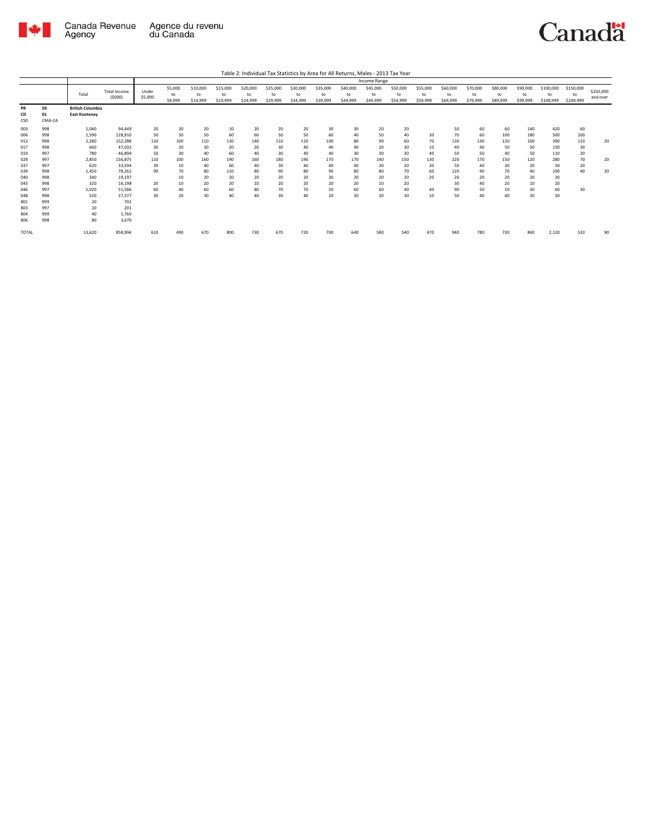

|                                        |                                        | Income Range                                    |                                                  |                       |                          |                            |                            |                            |                            |                            |                            |                            |                            |                            |                            |                            |                            |                            |                            |                              |                              |                       |
|----------------------------------------|----------------------------------------|-------------------------------------------------|--------------------------------------------------|-----------------------|--------------------------|----------------------------|----------------------------|----------------------------|----------------------------|----------------------------|----------------------------|----------------------------|----------------------------|----------------------------|----------------------------|----------------------------|----------------------------|----------------------------|----------------------------|------------------------------|------------------------------|-----------------------|
|                                        |                                        | Total                                           | <b>Total Income</b><br>(5000)                    | Under<br>\$5,000      | \$5,000<br>to<br>\$9,999 | \$10,000<br>to<br>\$14,999 | \$15,000<br>to<br>\$19,999 | \$20,000<br>to<br>\$24,999 | \$25,000<br>to<br>\$29,999 | \$30,000<br>to<br>\$34,999 | \$35,000<br>to<br>\$39,999 | \$40,000<br>to<br>\$44,999 | \$45,000<br>to<br>\$49,999 | \$50,000<br>to<br>\$54,999 | \$55,000<br>to<br>\$59,999 | \$60,000<br>to<br>\$69,999 | \$70,000<br>to<br>\$79,999 | \$80,000<br>to<br>\$89,999 | \$90,000<br>to<br>\$99,999 | \$100,000<br>to<br>\$149,999 | \$150,000<br>to<br>\$249,999 | \$250,000<br>and over |
| PR<br>CD<br>CSD                        | 59<br>01<br>CMA-CA                     | <b>British Columbia</b><br><b>East Kootenay</b> |                                                  |                       |                          |                            |                            |                            |                            |                            |                            |                            |                            |                            |                            |                            |                            |                            |                            |                              |                              |                       |
| 003<br>006<br>012<br>017               | 998<br>998<br>998<br>998               | 1,040<br>1,590<br>2,280<br>660                  | 94,449<br>128,910<br>152,288<br>47,032           | 20<br>50<br>110<br>30 | 30<br>50<br>100<br>20    | 20<br>50<br>110<br>30      | 10<br>60<br>130<br>20      | 20<br>60<br>140<br>20      | 20<br>50<br>110<br>30      | 20<br>50<br>110<br>40      | 30<br>60<br>100<br>40      | 30<br>40<br>80<br>40       | 20<br>50<br>90<br>20       | 20<br>40<br>60<br>30       | 30<br>70<br>10             | 50<br>70<br>130<br>40      | 60<br>60<br>130<br>40      | 60<br>100<br>120<br>50     | 140<br>180<br>160<br>50    | 420<br>500<br>390<br>130     | 60<br>100<br>110<br>30       | 20                    |
| 019<br>028<br>037                      | 997<br>997<br>997                      | 780<br>2,850<br>620                             | 46.894<br>156,875<br>33,594                      | 50<br>110<br>30       | 30<br>100<br>10          | 40<br>160<br>40            | 60<br>190<br>60            | 40<br>160<br>40            | 30<br>180<br>30            | 40<br>190<br>40            | 40<br>170<br>40            | 30<br>170<br>40            | 30<br>140<br>30            | 30<br>150<br>20            | 40<br>130<br>30            | 50<br>220<br>50            | 50<br>170<br>40            | 40<br>150<br>30            | 50<br>120<br>20            | 110<br>280<br>50             | 20<br>70<br>20               | 20                    |
| 039<br>040<br>043                      | 998<br>998<br>998                      | 1.450<br>340<br>320                             | 78.262<br>19,197<br>16.198                       | 90<br>20              | 70<br>10<br>10           | 80<br>20<br>20             | 110<br>20<br>20            | 80<br>20<br>10             | 90<br>20<br>20             | 80<br>20<br>20             | 90<br>30<br>20             | 80<br>20<br>20             | 80<br>20<br>10             | 70<br>20<br>20             | 60<br>20                   | 120<br>20<br>30            | 90<br>20<br>40             | 70<br>20<br>20             | 40<br>20<br>10             | 100<br>30<br>20              | 40                           | 20                    |
| 046<br>048<br>801<br>803<br>804<br>806 | 997<br>998<br>999<br>997<br>999<br>998 | 1,020<br>520<br>20<br>20<br>40<br>80            | 51.586<br>27,377<br>702<br>201<br>1,760<br>3,670 | 60<br>30              | 40<br>20                 | 60<br>30                   | 60<br>40                   | 80<br>40                   | 70<br>30                   | 70<br>40                   | 50<br>20                   | 60<br>30                   | 60<br>30                   | 40<br>30                   | 40<br>10                   | 90<br>50                   | 50<br>40                   | 50<br>40                   | 30<br>20                   | 60<br>30                     | 30                           |                       |
| <b>TOTAL</b>                           |                                        | 13,620                                          | 858,994                                          | 610                   | 490                      | 670                        | 800                        | 730                        | 670                        | 720                        | 700                        | 640                        | 580                        | 540                        | 470                        | 940                        | 780                        | 730                        | 840                        | 2,120                        | 510                          | 90                    |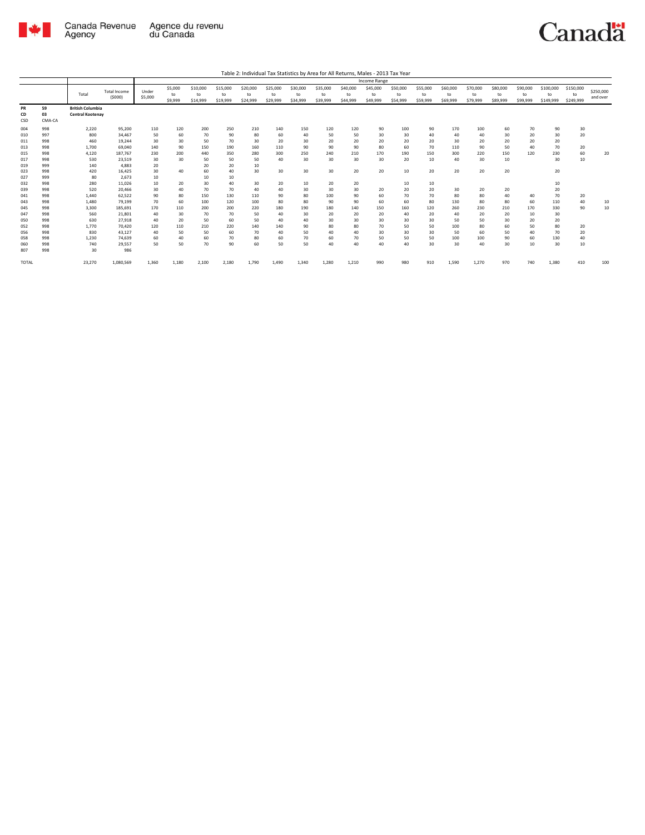

|                        |                    |                                                    |                               |                  |                          |                            |                            |                            |                            |                            |                            |                            | <b>Income Range</b>        |                            |                            |                            |                            |                            |                            |                              |                              |                       |
|------------------------|--------------------|----------------------------------------------------|-------------------------------|------------------|--------------------------|----------------------------|----------------------------|----------------------------|----------------------------|----------------------------|----------------------------|----------------------------|----------------------------|----------------------------|----------------------------|----------------------------|----------------------------|----------------------------|----------------------------|------------------------------|------------------------------|-----------------------|
|                        |                    | Total                                              | <b>Total Income</b><br>(5000) | Under<br>\$5,000 | \$5,000<br>to<br>\$9,999 | \$10,000<br>to<br>\$14,999 | \$15,000<br>to<br>\$19,999 | \$20,000<br>to<br>\$24,999 | \$25,000<br>to<br>\$29,999 | \$30,000<br>to<br>\$34,999 | \$35,000<br>to<br>\$39,999 | \$40,000<br>to<br>\$44,999 | \$45,000<br>to<br>\$49,999 | \$50,000<br>to<br>\$54,999 | \$55,000<br>to<br>\$59,999 | \$60,000<br>to<br>\$69,999 | \$70,000<br>to<br>\$79,999 | \$80,000<br>to<br>\$89,999 | \$90,000<br>to<br>\$99,999 | \$100,000<br>to<br>\$149,999 | \$150,000<br>to<br>\$249,999 | \$250,000<br>and over |
| <b>PR</b><br>CD<br>CSD | 59<br>03<br>CMA-CA | <b>British Columbia</b><br><b>Central Kootenav</b> |                               |                  |                          |                            |                            |                            |                            |                            |                            |                            |                            |                            |                            |                            |                            |                            |                            |                              |                              |                       |
| 004                    | 998                | 2,220                                              | 95,200                        | 110              | 120                      | 200                        | 250                        | 210                        | 140                        | 150                        | 120                        | 120                        | 90                         | 100                        | 90                         | 170                        | 100                        | 60                         | 70                         | 90                           | 30                           |                       |
| 010                    | 997                | 800                                                | 34.467                        | 50               | 60                       | 70                         | 90                         | 80                         | 60                         | 40                         | 50                         | 50                         | 30                         | 30                         | 40                         | 40                         | 40                         | 30                         | 20                         | 30                           | 20                           |                       |
| 011                    | 998                | 460                                                | 19.244                        | 30               | 30                       | 50                         | 70                         | 30                         | 20                         | 30                         | 20                         | 20                         | 20                         | 20                         | 20                         | 30                         | 20                         | 20                         | 20                         | 20                           |                              |                       |
| 013                    | 998                | 1,700                                              | 69.040                        | 140              | 90                       | 150                        | 190                        | 160                        | 110                        | 90                         | 90                         | 90                         | 80                         | 60                         | 70                         | 110                        | 90                         | 50                         | 40                         | 70                           | 20                           |                       |
| 015                    | 998                | 4.120                                              | 187.767                       | 230              | 200                      | 440                        | 350                        | 280                        | 300                        | 250                        | 240                        | 210                        | 170                        | 190                        | 150                        | 300                        | 220                        | 150                        | 120                        | 230                          | 60                           | 20                    |
| 017                    | 998                | 530                                                | 23,519                        | 30               | 30                       | 50                         | 50                         | 50                         | 40                         | 30                         | 30                         | 30                         | 30                         | 20                         | 10                         | 40                         | 30                         | 10                         |                            | 30                           | 10                           |                       |
| 019                    | 999                | 140                                                | 4.883                         | 20               |                          | 20                         | 20                         | 10                         |                            | 30                         | 30                         |                            | 20                         |                            |                            |                            | 20                         | 20                         |                            |                              |                              |                       |
| 023<br>027             | 998<br>999         | 420<br>80                                          | 16.425<br>2.673               | 30<br>10         | 40                       | 60<br>10                   | 40<br>10                   | 30                         | 30                         |                            |                            | 20                         |                            | 10                         | 20                         | 20                         |                            |                            |                            | 20                           |                              |                       |
| 032                    | 998                | 280                                                | 11,026                        | 10               | 20                       | 30                         | 40                         | 30                         | 20                         | 10                         | 20                         | 20                         |                            | 10                         | 10                         |                            |                            |                            |                            | 10                           |                              |                       |
| 039                    | 998                | 520                                                | 20,466                        | 30               | 40                       | 70                         | 70                         | 40                         | 40                         | 30                         | 30                         | 30                         | 20                         | 20                         | 20                         | 30                         | 20                         | 20                         |                            | 20                           |                              |                       |
| 041                    | 998                | 1,440                                              | 62,522                        | 90               | 80                       | 150                        | 130                        | 110                        | 90                         | 80                         | 100                        | 90                         | 60                         | 70                         | 70                         | 80                         | 80                         | 40                         | 40                         | 70                           | 20                           |                       |
| 043                    | 998                | 1,480                                              | 79,199                        | 70               | 60                       | 100                        | 120                        | 100                        | 80                         | 80                         | 90                         | 90                         | 60                         | 60                         | 80                         | 130                        | 80                         | 80                         | 60                         | 110                          | 40                           | 10                    |
| 045                    | 998                | 3,300                                              | 185,691                       | 170              | 110                      | 200                        | 200                        | 220                        | 180                        | 190                        | 180                        | 140                        | 150                        | 160                        | 120                        | 260                        | 230                        | 210                        | 170                        | 330                          | 90                           | 10                    |
| 047                    | 998                | 560                                                | 21,801                        | 40               | 30                       | 70                         | 70                         | 50                         | 40                         | 30                         | 20                         | 20                         | 20                         | 40                         | 20                         | 40                         | 20                         | 20                         | 10                         | 30                           |                              |                       |
| 050                    | 998                | 630                                                | 27,918                        | 40               | 20                       | 50                         | 60                         | 50                         | 40                         | 40                         | 30                         | 30                         | 30                         | 30                         | 30                         | 50                         | 50                         | 30                         | 20                         | 20                           |                              |                       |
| 052                    | 998                | 1,770                                              | 70,420                        | 120              | 110                      | 210                        | 220                        | 140                        | 140                        | 90                         | 80                         | 80                         | 70                         | 50                         | 50                         | 100                        | 80                         | 60                         | 50                         | 80                           | 20                           |                       |
| 056                    | 998                | 830                                                | 43.127                        | 40               | 50                       | 50                         | 60                         | 70                         | 40                         | 50                         | 40                         | 40                         | 30                         | 30                         | 30                         | 50                         | 60                         | 50                         | 40                         | 70                           | 20                           |                       |
| 058                    | 998                | 1.230                                              | 74.639                        | 60               | 40                       | 60                         | 70                         | 80                         | 60                         | 70                         | 60                         | 70                         | 50                         | 50                         | 50                         | 100                        | 100                        | 90                         | 60                         | 130                          | 40                           |                       |
| 060                    | 998                | 740                                                | 29,557                        | 50               | 50                       | 70                         | 90                         | 60                         | 50                         | 50                         | 40                         | 40                         | 40                         | 40                         | 30                         | 30                         | 40                         | 30                         | 10                         | 30                           | 10                           |                       |
| 807                    | 998                | 30                                                 | 986                           |                  |                          |                            |                            |                            |                            |                            |                            |                            |                            |                            |                            |                            |                            |                            |                            |                              |                              |                       |
| <b>TOTAL</b>           |                    | 23,270                                             | 1,080,569                     | 1,360            | 1,180                    | 2,100                      | 2,180                      | 1,790                      | 1,490                      | 1,340                      | 1,280                      | 1,210                      | 990                        | 980                        | 910                        | 1,590                      | 1,270                      | 970                        | 740                        | 1,380                        | 410                          | 100                   |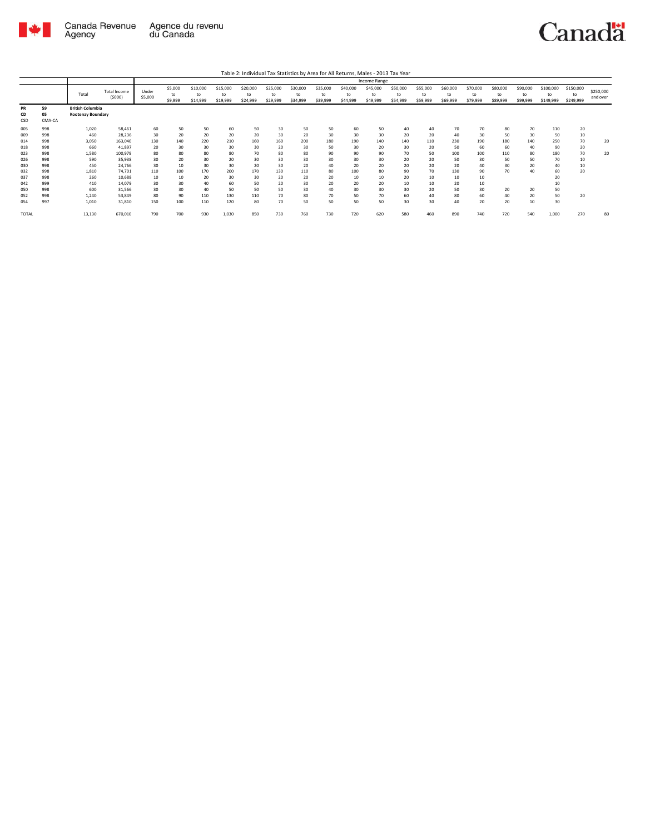

|                 |                    |                                                     |                               |                  |                          |                            |                            |                            |                            |                            |                            |                            | Income Range               |                            |                            |                            |                            |                            |                            |                              |                              |                       |
|-----------------|--------------------|-----------------------------------------------------|-------------------------------|------------------|--------------------------|----------------------------|----------------------------|----------------------------|----------------------------|----------------------------|----------------------------|----------------------------|----------------------------|----------------------------|----------------------------|----------------------------|----------------------------|----------------------------|----------------------------|------------------------------|------------------------------|-----------------------|
|                 |                    | Total                                               | <b>Total Income</b><br>(5000) | Under<br>\$5,000 | \$5,000<br>to<br>\$9,999 | \$10,000<br>to<br>\$14,999 | \$15,000<br>to<br>\$19,999 | \$20,000<br>to<br>\$24,999 | \$25,000<br>to<br>\$29,999 | \$30,000<br>to<br>\$34,999 | \$35,000<br>to<br>\$39,999 | \$40,000<br>to<br>\$44,999 | \$45,000<br>to<br>\$49,999 | \$50,000<br>to<br>\$54,999 | \$55,000<br>to<br>\$59,999 | \$60,000<br>to<br>\$69,999 | \$70,000<br>to<br>\$79,999 | \$80,000<br>to<br>\$89,999 | \$90,000<br>to<br>\$99,999 | \$100,000<br>to<br>\$149,999 | \$150,000<br>to<br>\$249,999 | \$250,000<br>and over |
| PR<br>CD<br>CSD | 59<br>05<br>CMA-CA | <b>British Columbia</b><br><b>Kootenay Boundary</b> |                               |                  |                          |                            |                            |                            |                            |                            |                            |                            |                            |                            |                            |                            |                            |                            |                            |                              |                              |                       |
| 005             | 998                | 1,020                                               | 58,461                        | 60               | 50                       | 50                         | 60                         | 50                         | 30                         | 50                         | 50                         | 60                         | 50                         | 40                         | 40                         | 70                         | 70                         | 80                         | 70                         | 110                          | 20                           |                       |
| 009             | 998                | 460                                                 | 28,236                        | 30               | 20                       | 20                         | 20                         | 20                         | 30                         | 20                         | 30                         | 30                         | 30                         | 20                         | 20                         | 40                         | 30                         | 50                         | 30                         | 50                           | 10                           |                       |
| 014             | 998                | 3,050                                               | 163,040                       | 130              | 140                      | 220                        | 210                        | 160                        | 160                        | 200                        | 180                        | 190                        | 140                        | 140                        | 110                        | 230                        | 190                        | 180                        | 140                        | 250                          | 70                           | 20                    |
| 018             | 998                | 660                                                 | 41,897                        | 20               | 30                       | 30                         | 30                         | 30                         | 20                         | 30                         | 50                         | 30                         | 20                         | 30                         | 20                         | 50                         | 60                         | 60                         | 40                         | 90                           | 20                           |                       |
| 023             | 998                | 1.580                                               | 100,979                       | 80               | 80                       | 80                         | 80                         | 70                         | 80                         | 80                         | 90                         | 90                         | 90                         | 70                         | 50                         | 100                        | 100                        | 110                        | 80                         | 180                          | 70                           | 20                    |
| 026             | 998                | 590                                                 | 35,938                        | 30               | 20                       | 30                         | 20                         | 30                         | 30                         | 30                         | 30                         | 30                         | 30                         | 20                         | 20                         | 50                         | 30                         | 50                         | 50                         | 70                           | 10                           |                       |
| 030             | 998                | 450                                                 | 24,766                        | 30               | 10                       | 30                         | 30                         | 20                         | 30                         | 20                         | 40                         | 20                         | 20                         | 20                         | 20                         | 20                         | 40                         | 30                         | 20                         | 40                           | 10                           |                       |
| 032             | 998                | 1,810                                               | 74,701                        | 110              | 100                      | 170                        | 200                        | 170                        | 130                        | 110                        | 80                         | 100                        | 80                         | 90                         | 70                         | 130                        | 90                         | 70                         | 40                         | 60                           | 20                           |                       |
| 037             | 998                | 260                                                 | 10,688                        | 10               | 10                       | 20                         | 30                         | 30                         | 20                         | 20                         | 20                         | 10                         | 10                         | 20                         | 10                         | 10                         | 10                         |                            |                            | 20                           |                              |                       |
| 042             | 999                | 410                                                 | 14,079                        | 30               | 30                       | 40                         | 60                         | 50                         | 20                         | 30                         | 20                         | 20                         | 20                         | 10                         | 10                         | 20                         | 10                         |                            |                            | 10                           |                              |                       |
| 050             | 998                | 600                                                 | 31,566                        | 30               | 30                       | 40                         | 50                         | 50                         | 50                         | 30                         | 40                         | 30                         | 30                         | 30                         | 20                         | 50                         | 30                         | 20                         | 20                         | 50                           |                              |                       |
| 052             | 998                | 1.240                                               | 53,849                        | 80               | 90                       | 110                        | 130                        | 110                        | 70                         | 80                         | 70                         | 50                         | 70                         | 60                         | 40                         | 80                         | 60                         | 40                         | 20                         | 50                           | 20                           |                       |
| 054             | 997                | 1,010                                               | 31,810                        | 150              | 100                      | 110                        | 120                        | 80                         | 70                         | 50                         | 50                         | 50                         | 50                         | 30                         | 30                         | 40                         | 20                         | 20                         | 10                         | 30                           |                              |                       |
| TOTAL           |                    | 13,130                                              | 670,010                       | 790              | 700                      | 930                        | 1,030                      | 850                        | 730                        | 760                        | 730                        | 720                        | 620                        | 580                        | 460                        | 890                        | 740                        | 720                        | 540                        | 1,000                        | 270                          | 80                    |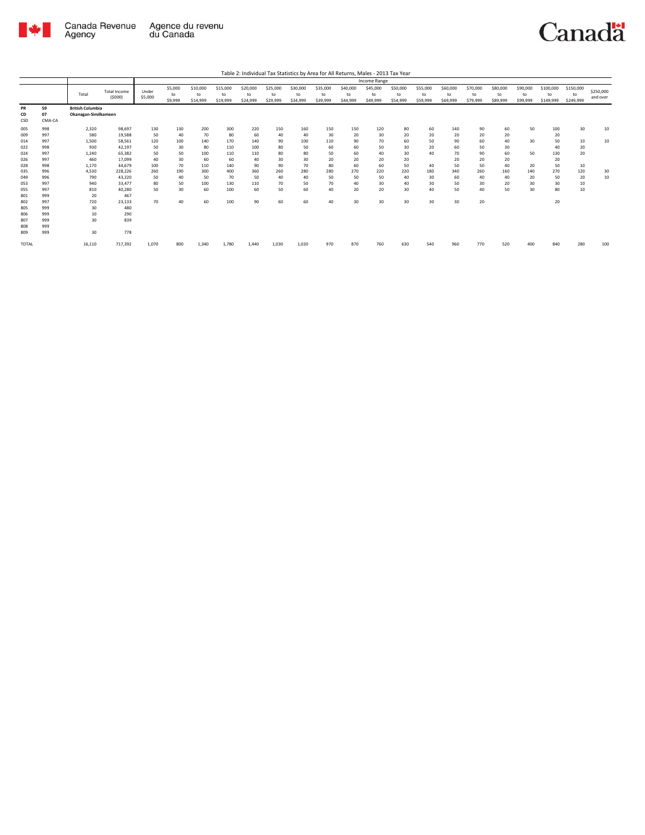

|                        |                    | Income Range                                    |                               |                  |                          |                            |                            |                            |                            |                            |                            |                            |                            |                            |                            |                            |                            |                            |                            |                              |                              |                       |
|------------------------|--------------------|-------------------------------------------------|-------------------------------|------------------|--------------------------|----------------------------|----------------------------|----------------------------|----------------------------|----------------------------|----------------------------|----------------------------|----------------------------|----------------------------|----------------------------|----------------------------|----------------------------|----------------------------|----------------------------|------------------------------|------------------------------|-----------------------|
|                        |                    | Total                                           | <b>Total Income</b><br>(5000) | Under<br>\$5,000 | \$5,000<br>to<br>\$9,999 | \$10,000<br>to<br>\$14,999 | \$15,000<br>to<br>\$19,999 | \$20,000<br>to<br>\$24,999 | \$25,000<br>to<br>\$29,999 | \$30,000<br>to<br>\$34,999 | \$35,000<br>to<br>\$39,999 | \$40,000<br>to<br>\$44,999 | \$45,000<br>to<br>\$49,999 | \$50,000<br>to<br>\$54,999 | \$55,000<br>to<br>\$59,999 | \$60,000<br>to<br>\$69,999 | \$70,000<br>to<br>\$79,999 | \$80,000<br>to<br>\$89,999 | \$90,000<br>to<br>\$99,999 | \$100,000<br>to<br>\$149,999 | \$150,000<br>to<br>\$249,999 | \$250,000<br>and over |
| <b>PR</b><br>CD<br>CSD | 59<br>07<br>CMA-CA | <b>British Columbia</b><br>Okanagan-Similkameen |                               |                  |                          |                            |                            |                            |                            |                            |                            |                            |                            |                            |                            |                            |                            |                            |                            |                              |                              |                       |
| 005<br>009             | 998<br>997         | 2.320<br>580                                    | 98.697<br>19,588              | 130<br>50        | 130<br>40                | 200<br>70                  | 300<br>80                  | 220<br>60                  | 150<br>40                  | 160<br>40                  | 150<br>30                  | 150<br>20                  | 120<br>30                  | 80<br>20                   | 60<br>20                   | 140<br>20                  | 90<br>20                   | 60<br>20                   | 50                         | 100<br>20                    | 30                           | 10                    |
| 014<br>022             | 997<br>998         | 1,500<br>930                                    | 58.561<br>42.197              | 120<br>50        | 100<br>30                | 140<br>80                  | 170<br>110                 | 140<br>100                 | 90<br>80                   | 100<br>50                  | 110<br>60                  | 90<br>60                   | 70<br>50                   | 60<br>30                   | 50<br>20                   | 90<br>60                   | 60<br>50                   | 40<br>30                   | 30                         | 50<br>40                     | 10<br>20                     | 10                    |
| 024                    | 997                | 1.240                                           | 65.382                        | 50               | 50                       | 100                        | 110                        | 110                        | 80                         | 80                         | 50                         | 60                         | 40                         | 30                         | 40                         | 70                         | 90                         | 60                         | 50                         | 130                          | 20                           |                       |
| 026<br>028             | 997<br>998         | 460<br>1,170                                    | 17.099<br>44.679              | 40<br>100        | 30<br>70                 | 60<br>110                  | 60<br>140                  | 40<br>90                   | 30<br>90                   | 30<br>70                   | 20<br>80                   | 20<br>60                   | 20<br>60                   | 20<br>50                   | 40                         | 20<br>50                   | 20<br>50                   | 20<br>40                   | 20                         | 20<br>50                     | 10                           |                       |
| 035<br>049             | 996<br>996         | 4.530<br>790                                    | 228.226<br>43.220             | 260<br>50        | 190<br>40                | 300<br>50                  | 400<br>70                  | 360<br>50                  | 260<br>40                  | 280<br>40                  | 280<br>50                  | 270<br>50                  | 220<br>50                  | 220<br>40                  | 180<br>30                  | 340<br>60                  | 260<br>40                  | 160<br>40                  | 140<br>20                  | 270<br>50                    | 120<br>20                    | 30<br>10              |
| 053<br>055             | 997<br>997         | 940<br>810                                      | 33.477<br>40,280              | 80<br>50         | 50<br>30                 | 100<br>60                  | 130<br>100                 | 110<br>60                  | 70<br>50                   | 50<br>60                   | 70<br>40                   | 40<br>20                   | 30<br>20                   | 40<br>30                   | 30<br>40                   | 50<br>50                   | 30<br>40                   | 20<br>50                   | 30<br>30                   | 30<br>80                     | 10<br>10                     |                       |
| 801<br>802             | 999<br>997         | 20<br>720                                       | 467<br>23.133                 | 70               | 40                       | 60                         | 100                        | 90                         | 60                         | 60                         | 40                         | 30                         | 30                         | 30                         | 30                         | 30                         | 20                         |                            |                            | 20                           |                              |                       |
| 805<br>806             | 999<br>999         | 30<br>10                                        | 480<br>290                    |                  |                          |                            |                            |                            |                            |                            |                            |                            |                            |                            |                            |                            |                            |                            |                            |                              |                              |                       |
| 807                    | 999                | 30                                              | 839                           |                  |                          |                            |                            |                            |                            |                            |                            |                            |                            |                            |                            |                            |                            |                            |                            |                              |                              |                       |
| 808<br>809             | 999<br>999         | 30                                              | 778                           |                  |                          |                            |                            |                            |                            |                            |                            |                            |                            |                            |                            |                            |                            |                            |                            |                              |                              |                       |
| <b>TOTAL</b>           |                    | 16.110                                          | 717,392                       | 1.070            | 800                      | 1,340                      | 1,780                      | 1.440                      | 1,030                      | 1,020                      | 970                        | 870                        | 760                        | 630                        | 540                        | 960                        | 770                        | 520                        | 400                        | 840                          | 280                          | 100                   |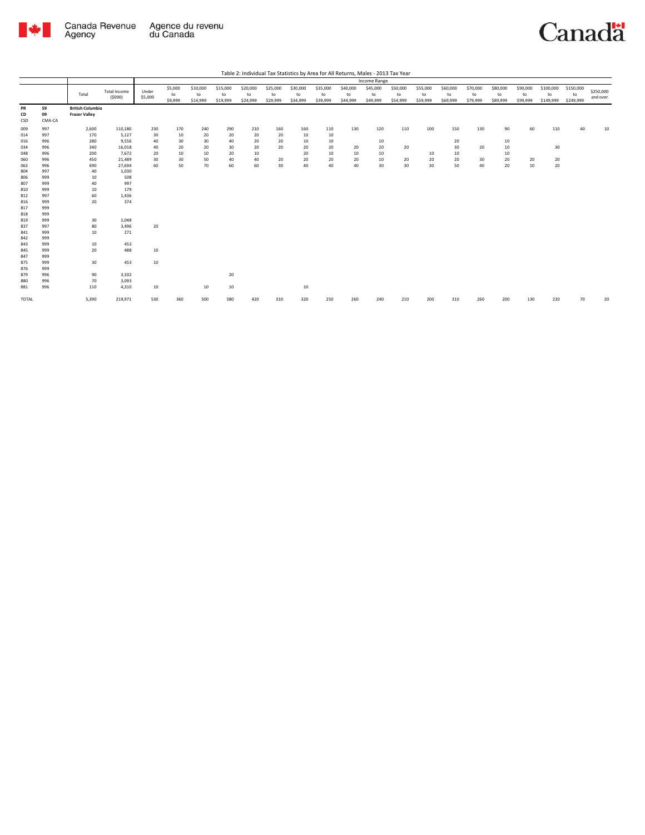



|                   |                    |                                                 |                               |                  |                          |                            |                            |                            |                            |                            |                            |                            | Income Range               |                            |                            |                            |                            |                            |                            |                              |                              |                       |
|-------------------|--------------------|-------------------------------------------------|-------------------------------|------------------|--------------------------|----------------------------|----------------------------|----------------------------|----------------------------|----------------------------|----------------------------|----------------------------|----------------------------|----------------------------|----------------------------|----------------------------|----------------------------|----------------------------|----------------------------|------------------------------|------------------------------|-----------------------|
|                   |                    | Total                                           | <b>Total Income</b><br>(5000) | Under<br>\$5,000 | \$5,000<br>to<br>\$9,999 | \$10,000<br>to<br>\$14,999 | \$15,000<br>to<br>\$19,999 | \$20,000<br>to<br>\$24,999 | \$25,000<br>to<br>\$29,999 | \$30,000<br>to<br>\$34,999 | \$35,000<br>to<br>\$39,999 | \$40,000<br>to<br>\$44,999 | \$45,000<br>to<br>\$49,999 | \$50,000<br>to<br>\$54,999 | \$55,000<br>to<br>\$59,999 | \$60,000<br>to<br>\$69,999 | \$70,000<br>to<br>\$79,999 | \$80,000<br>to<br>\$89,999 | \$90,000<br>to<br>\$99,999 | \$100,000<br>to<br>\$149,999 | \$150,000<br>to<br>\$249,999 | \$250,000<br>and over |
| PR<br>CD<br>CSD   | 59<br>09<br>CMA-CA | <b>British Columbia</b><br><b>Fraser Valley</b> |                               |                  |                          |                            |                            |                            |                            |                            |                            |                            |                            |                            |                            |                            |                            |                            |                            |                              |                              |                       |
| 009<br>014        | 997<br>997         | 2,600<br>170                                    | 110,180<br>5,127              | 230<br>30        | 170<br>10                | 240<br>20                  | 290<br>20                  | 210<br>20                  | 160<br>20                  | 160<br>10                  | 110<br>10                  | 130                        | 120                        | 110                        | 100                        | 150                        | 130                        | 90                         | 60                         | 110                          | 40                           | 10                    |
| 016<br>034<br>048 | 996<br>996<br>996  | 280<br>340<br>200                               | 9,556<br>16,018<br>7,672      | 40<br>40<br>20   | 30<br>20<br>10           | 30<br>20<br>10             | 40<br>30<br>20             | 20<br>20<br>10             | 20<br>20                   | 10<br>20<br>20             | 10<br>20<br>10             | 20<br>10                   | 10<br>20<br>10             | 20                         | 10                         | 20<br>30<br>10             | 20                         | 10<br>10<br>10             |                            | 30                           |                              |                       |
| 060<br>062        | 996<br>996         | 450<br>690                                      | 21,489<br>27,694              | 30<br>60         | 30<br>50                 | 50<br>70                   | 40<br>60                   | 40<br>60                   | 20<br>30                   | 20<br>40                   | 20<br>40                   | 20<br>40                   | 10<br>30                   | 20<br>30                   | 20<br>30                   | 20<br>50                   | 30<br>40                   | 20<br>20                   | 20<br>10                   | 20<br>20                     |                              |                       |
| 804<br>806<br>807 | 997<br>999<br>999  | 40<br>10<br>40                                  | 1,030<br>508<br>997           |                  |                          |                            |                            |                            |                            |                            |                            |                            |                            |                            |                            |                            |                            |                            |                            |                              |                              |                       |
| 810<br>812        | 999<br>997         | 10<br>60                                        | 179<br>1,436                  |                  |                          |                            |                            |                            |                            |                            |                            |                            |                            |                            |                            |                            |                            |                            |                            |                              |                              |                       |
| 816<br>817<br>818 | 999<br>999<br>999  | 20                                              | 374                           |                  |                          |                            |                            |                            |                            |                            |                            |                            |                            |                            |                            |                            |                            |                            |                            |                              |                              |                       |
| 819<br>837        | 999<br>997         | 30<br>80                                        | 1,048<br>3,496                | 20               |                          |                            |                            |                            |                            |                            |                            |                            |                            |                            |                            |                            |                            |                            |                            |                              |                              |                       |
| 841<br>842<br>843 | 999<br>999<br>999  | 10<br>10                                        | 271<br>453                    |                  |                          |                            |                            |                            |                            |                            |                            |                            |                            |                            |                            |                            |                            |                            |                            |                              |                              |                       |
| 845<br>847        | 999<br>999         | 20                                              | 488                           | 10               |                          |                            |                            |                            |                            |                            |                            |                            |                            |                            |                            |                            |                            |                            |                            |                              |                              |                       |
| 875<br>876        | 999<br>999         | 30                                              | 453                           | 10               |                          |                            |                            |                            |                            |                            |                            |                            |                            |                            |                            |                            |                            |                            |                            |                              |                              |                       |
| 879<br>880<br>881 | 996<br>996<br>996  | 90<br>70<br>110                                 | 3,332<br>3,093<br>4,310       | 10               |                          | 10                         | 20<br>10                   |                            |                            | 10                         |                            |                            |                            |                            |                            |                            |                            |                            |                            |                              |                              |                       |
| TOTAL             |                    | 5,390                                           | 219,971                       | 530              | 360                      | 500                        | 580                        | 420                        | 310                        | 320                        | 250                        | 260                        | 240                        | 210                        | 200                        | 310                        | 260                        | 200                        | 130                        | 210                          | 70                           | 20                    |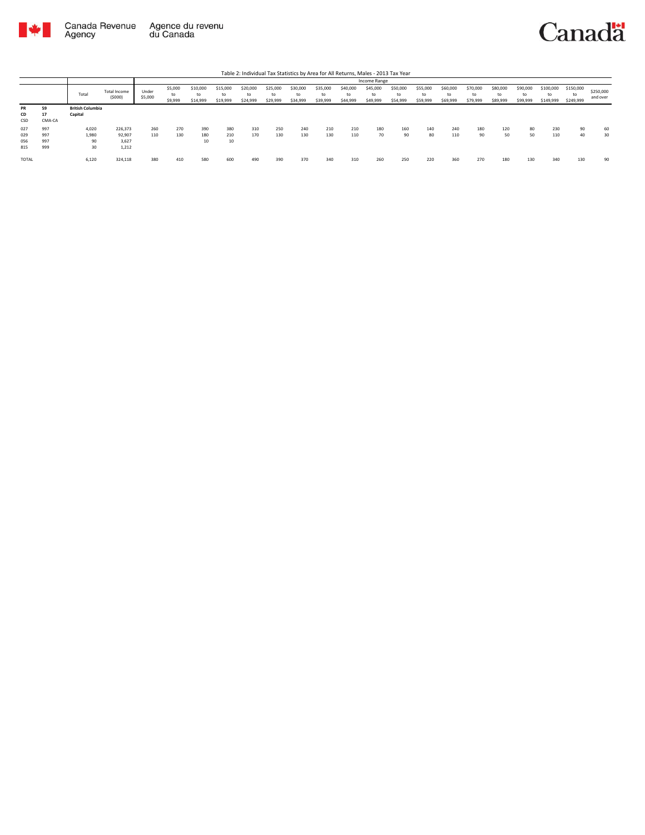



|                        |                    |                                    |                          |                  |                          |                            |                            |                            |                            |                            |                            |                            | Income Range               |                            |                            |                            |                            |                            |                            |                              |                              |                       |
|------------------------|--------------------|------------------------------------|--------------------------|------------------|--------------------------|----------------------------|----------------------------|----------------------------|----------------------------|----------------------------|----------------------------|----------------------------|----------------------------|----------------------------|----------------------------|----------------------------|----------------------------|----------------------------|----------------------------|------------------------------|------------------------------|-----------------------|
|                        |                    | Total                              | Total Income<br>(5000)   | Under<br>\$5,000 | \$5,000<br>to<br>\$9,999 | \$10,000<br>to<br>\$14,999 | \$15,000<br>to<br>\$19,999 | \$20,000<br>to<br>\$24,999 | \$25,000<br>to<br>\$29,999 | \$30,000<br>to<br>\$34,999 | \$35,000<br>to<br>\$39,999 | \$40,000<br>to<br>\$44,999 | \$45,000<br>to<br>\$49,999 | \$50,000<br>to<br>\$54,999 | \$55,000<br>to<br>\$59,999 | \$60,000<br>to<br>\$69,999 | \$70,000<br>to<br>\$79,999 | \$80,000<br>to<br>\$89,999 | \$90,000<br>to<br>\$99,999 | \$100,000<br>to<br>\$149,999 | \$150,000<br>to<br>\$249,999 | \$250,000<br>and over |
| <b>PR</b><br>CD<br>CSD | 59<br>17<br>CMA-CA | <b>British Columbia</b><br>Capital |                          |                  |                          |                            |                            |                            |                            |                            |                            |                            |                            |                            |                            |                            |                            |                            |                            |                              |                              |                       |
| 027                    | 997                | 4.020                              | 226,373                  | 260              | 270                      | 390                        | 380                        | 310                        | 250                        | 240                        | 210                        | 210                        | 180                        | 160                        | 140                        | 240                        | 180                        | 120                        | 80                         | 230                          | 90                           | 60                    |
| 029<br>056<br>815      | 997<br>997<br>999  | 1,980<br>90<br>30                  | 92,907<br>3,627<br>1,212 | 110              | 130                      | 180<br>10                  | 210<br>10                  | 170                        | 130                        | 130                        | 130                        | 110                        | 70                         | 90                         | 80                         | 110                        | 90                         | 50                         | 50                         | 110                          | 40                           | 30                    |
| TOTAL                  |                    | 6.120                              | 324,118                  | 380              | 410                      | 580                        | 600                        | 490                        | 390                        | 370                        | 340                        | 310                        | 260                        | 250                        | 220                        | 360                        | 270                        | 180                        | 130                        | 340                          | 130                          | 90                    |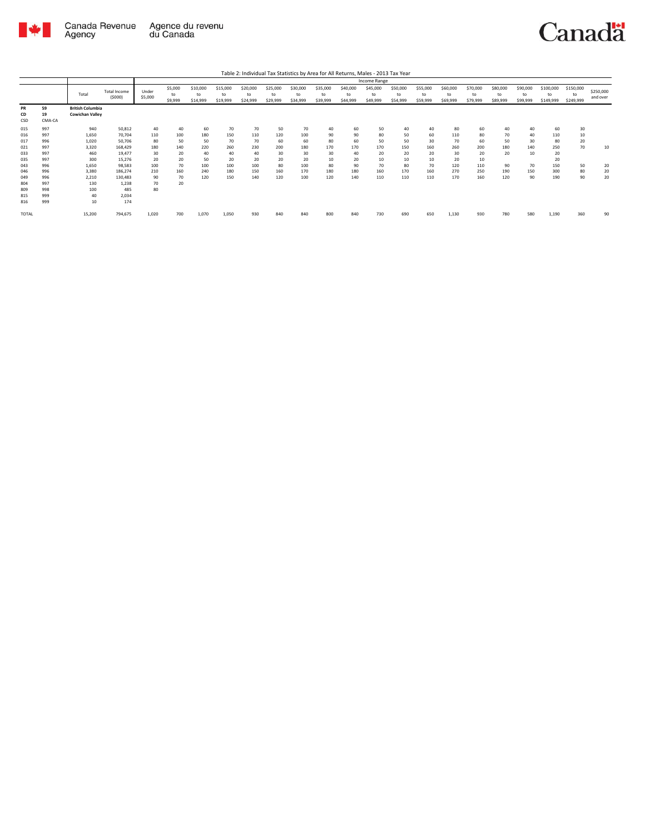

|                                 |                                 | Income Range                                      |                                             |                        |                          |                            |                            |                            |                            |                            |                            |                            |                            |                            |                            |                            |                            |                            |                            |                              |                              |                       |
|---------------------------------|---------------------------------|---------------------------------------------------|---------------------------------------------|------------------------|--------------------------|----------------------------|----------------------------|----------------------------|----------------------------|----------------------------|----------------------------|----------------------------|----------------------------|----------------------------|----------------------------|----------------------------|----------------------------|----------------------------|----------------------------|------------------------------|------------------------------|-----------------------|
|                                 |                                 | Total                                             | <b>Total Income</b><br>(5000)               | Under<br>\$5,000       | \$5,000<br>to<br>\$9,999 | \$10,000<br>to<br>\$14,999 | \$15,000<br>to<br>\$19,999 | \$20,000<br>to<br>\$24,999 | \$25,000<br>to<br>\$29,999 | \$30,000<br>to<br>\$34,999 | \$35,000<br>to<br>\$39,999 | \$40,000<br>to<br>\$44,999 | \$45,000<br>to<br>\$49,999 | \$50,000<br>to<br>\$54,999 | \$55,000<br>to<br>\$59,999 | \$60,000<br>to<br>\$69,999 | \$70,000<br>to<br>\$79,999 | \$80,000<br>to<br>\$89,999 | \$90,000<br>to<br>\$99,999 | \$100,000<br>to<br>\$149,999 | \$150,000<br>to<br>\$249,999 | \$250,000<br>and over |
| <b>PR</b><br>CD<br>CSD          | 59<br>19<br>CMA-CA              | <b>British Columbia</b><br><b>Cowichan Valley</b> |                                             |                        |                          |                            |                            |                            |                            |                            |                            |                            |                            |                            |                            |                            |                            |                            |                            |                              |                              |                       |
| 015<br>016<br>017<br>021        | 997<br>997<br>996<br>997        | 940<br>1,650<br>1,020<br>3,320                    | 50,812<br>70,704<br>50,706<br>168,429       | 40<br>110<br>80<br>180 | 40<br>100<br>50<br>140   | 60<br>180<br>50<br>220     | 70<br>150<br>70<br>260     | 70<br>110<br>70<br>230     | 50<br>120<br>60<br>200     | 70<br>100<br>60<br>180     | 40<br>90<br>80<br>170      | 60<br>90<br>60<br>170      | 50<br>80<br>50<br>170      | 40<br>50<br>50<br>150      | 40<br>60<br>30<br>160      | 80<br>110<br>70<br>260     | 60<br>80<br>60<br>200      | 40<br>70<br>50<br>180      | 40<br>40<br>30<br>140      | 60<br>110<br>80<br>250       | 30<br>10<br>20<br>70         | 10                    |
| 033<br>035<br>043               | 997<br>997<br>996               | 460<br>300<br>1,650                               | 19,477<br>15,276<br>98,583                  | 30<br>20<br>100        | 20<br>20<br>70           | 40<br>50<br>100            | 40<br>20<br>100            | 40<br>20<br>100            | 30<br>20<br>80             | 30<br>20<br>100            | 30<br>10<br>80             | 40<br>20<br>90             | 20<br>10<br>70             | 20<br>10<br>80             | 20<br>10<br>70             | 30<br>20<br>120            | 20<br>10<br>110            | 20<br>90                   | 10<br>70                   | 20<br>20<br>150              | 50                           | 20                    |
| 046<br>049<br>804<br>809<br>815 | 996<br>996<br>997<br>998<br>999 | 3,380<br>2.210<br>130<br>100<br>40                | 186,274<br>130,483<br>1.238<br>485<br>2,034 | 210<br>90<br>70<br>80  | 160<br>70<br>20          | 240<br>120                 | 180<br>150                 | 150<br>140                 | 160<br>120                 | 170<br>100                 | 180<br>120                 | 180<br>140                 | 160<br>110                 | 170<br>110                 | 160<br>110                 | 270<br>170                 | 250<br>160                 | 190<br>120                 | 150<br>90                  | 300<br>190                   | 80<br>90                     | 20<br>20              |
| 816<br><b>TOTAL</b>             | 999                             | 10<br>15,200                                      | 174<br>794,675                              | 1,020                  | 700                      | 1,070                      | 1,050                      | 930                        | 840                        | 840                        | 800                        | 840                        | 730                        | 690                        | 650                        | 1,130                      | 930                        | 780                        | 580                        | 1,190                        | 360                          | 90                    |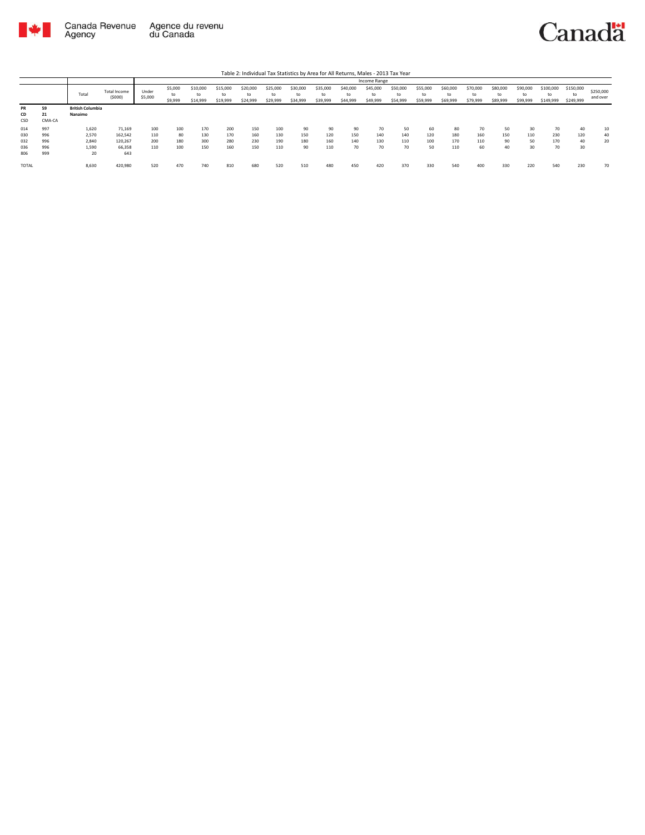

|                 |                    |                                    |                        |                  |                          |                            |                            |                            |                            |                            |                            |                            |                            | Table 2: Individual Tax Statistics by Area for All Returns, Males - 2013 Tax Year |                            |                            |                            |                            |                            |                              |                              |                       |
|-----------------|--------------------|------------------------------------|------------------------|------------------|--------------------------|----------------------------|----------------------------|----------------------------|----------------------------|----------------------------|----------------------------|----------------------------|----------------------------|-----------------------------------------------------------------------------------|----------------------------|----------------------------|----------------------------|----------------------------|----------------------------|------------------------------|------------------------------|-----------------------|
|                 |                    |                                    |                        |                  |                          |                            |                            |                            |                            |                            |                            |                            | Income Range               |                                                                                   |                            |                            |                            |                            |                            |                              |                              |                       |
|                 |                    | Total                              | Total Income<br>(5000) | Under<br>\$5,000 | \$5,000<br>to<br>\$9,999 | \$10,000<br>to<br>\$14,999 | \$15,000<br>to<br>\$19,999 | \$20,000<br>to<br>\$24,999 | \$25,000<br>to<br>\$29,999 | \$30,000<br>to<br>\$34,999 | \$35,000<br>to<br>\$39,999 | \$40,000<br>to<br>\$44,999 | \$45,000<br>to<br>\$49,999 | \$50,000<br>to<br>\$54,999                                                        | \$55,000<br>to<br>\$59,999 | \$60,000<br>to<br>\$69,999 | \$70,000<br>to<br>\$79,999 | \$80,000<br>to<br>\$89,999 | \$90,000<br>to<br>\$99,999 | \$100,000<br>to<br>\$149,999 | \$150,000<br>to<br>\$249,999 | \$250,000<br>and over |
| PR<br>CD<br>CSD | 59<br>21<br>CMA-CA | <b>British Columbia</b><br>Nanaimo |                        |                  |                          |                            |                            |                            |                            |                            |                            |                            |                            |                                                                                   |                            |                            |                            |                            |                            |                              |                              |                       |
| 014             | 997                | 1,620                              | 71,169                 | 100              | 100                      | 170                        | 200                        | 150                        | 100                        | 90                         | 90                         | 90                         | 70                         | 50                                                                                | 60                         | 80                         | 70                         | 50                         | 30                         | 70                           | 40                           | 10                    |
| 030             | 996                | 2,570                              | 162.542                | 110              | 80                       | 130                        | 170                        | 160                        | 130                        | 150                        | 120                        | 150                        | 140                        | 140                                                                               | 120                        | 180                        | 160                        | 150                        | 110                        | 230                          | 120                          | 40                    |
| 032             | 996                | 2,840                              | 120.267                | 200              | 180                      | 300                        | 280                        | 230                        | 190                        | 180                        | 160                        | 140                        | 130                        | 110                                                                               | 100                        | 170                        | 110                        | 90                         | 50                         | 170                          | 40                           | 20                    |
| 036             | 996                | 1.590                              | 66,358                 | 110              | 100                      | 150                        | 160                        | 150                        | 110                        | 90                         | 110                        | 70                         | 70                         | 70                                                                                | 50                         | 110                        | 60                         | 40                         | 30                         | 70                           | 30                           |                       |
| 806             | 999                | 20                                 | 643                    |                  |                          |                            |                            |                            |                            |                            |                            |                            |                            |                                                                                   |                            |                            |                            |                            |                            |                              |                              |                       |
| <b>TOTAL</b>    |                    | 8,630                              | 420,980                | 520              | 470                      | 740                        | 810                        | 680                        | 520                        | 510                        | 480                        | 450                        | 420                        | 370                                                                               | 330                        | 540                        | 400                        | 330                        | 220                        | 540                          | 230                          | 70                    |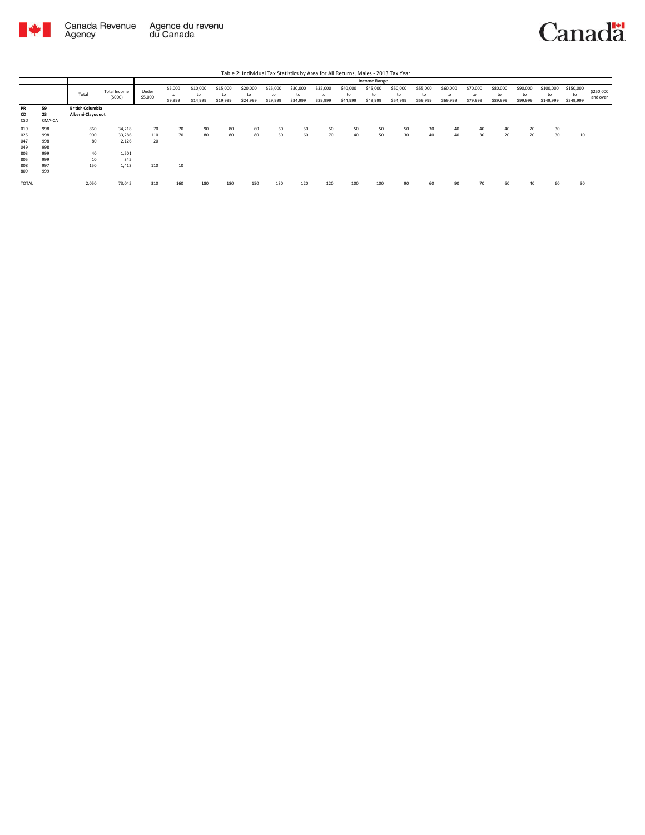

|                 |                    |                                              |                        |                  |                          |                            |                            |                            |                            |                            |                            |                            | Income Range               |                            |                            |                            |                            |                            |                            |                              |                              |                       |
|-----------------|--------------------|----------------------------------------------|------------------------|------------------|--------------------------|----------------------------|----------------------------|----------------------------|----------------------------|----------------------------|----------------------------|----------------------------|----------------------------|----------------------------|----------------------------|----------------------------|----------------------------|----------------------------|----------------------------|------------------------------|------------------------------|-----------------------|
|                 |                    | Total                                        | Total Income<br>(5000) | Under<br>\$5,000 | \$5,000<br>to<br>\$9,999 | \$10,000<br>to<br>\$14,999 | \$15,000<br>to<br>\$19,999 | \$20,000<br>to<br>\$24,999 | \$25,000<br>to<br>\$29,999 | \$30,000<br>to<br>\$34,999 | \$35,000<br>to<br>\$39,999 | \$40,000<br>to<br>\$44,999 | \$45,000<br>to<br>\$49,999 | \$50,000<br>to<br>\$54,999 | \$55,000<br>to<br>\$59,999 | \$60,000<br>to<br>\$69,999 | \$70,000<br>to<br>\$79,999 | \$80,000<br>to<br>\$89,999 | \$90,000<br>to<br>\$99,999 | \$100,000<br>to<br>\$149,999 | \$150,000<br>to<br>\$249,999 | \$250,000<br>and over |
| PR<br>CD<br>CSD | 59<br>23<br>CMA-CA | <b>British Columbia</b><br>Alberni-Clayoquot |                        |                  |                          |                            |                            |                            |                            |                            |                            |                            |                            |                            |                            |                            |                            |                            |                            |                              |                              |                       |
| 019             | 998                | 860                                          | 34,218                 | 70               | 70                       | 90                         | 80                         | 60                         | 60                         | 50                         | 50                         | 50                         | 50                         | 50                         | 30                         | 40                         | 40                         | 40                         | 20                         | 30                           |                              |                       |
| 025             | 998                | 900                                          | 33,286                 | 110              | 70                       | 80                         | 80                         | 80                         | 50                         | 60                         | 70                         | 40                         | 50                         | 30 <sup>2</sup>            | 40                         | 40                         | 30                         | 20                         | 20                         | 30                           | 10                           |                       |
| 047             | 998                | 80                                           | 2.126                  | 20               |                          |                            |                            |                            |                            |                            |                            |                            |                            |                            |                            |                            |                            |                            |                            |                              |                              |                       |
| 049             | 998                |                                              |                        |                  |                          |                            |                            |                            |                            |                            |                            |                            |                            |                            |                            |                            |                            |                            |                            |                              |                              |                       |
| 803             | 999                | 40                                           | 1,501                  |                  |                          |                            |                            |                            |                            |                            |                            |                            |                            |                            |                            |                            |                            |                            |                            |                              |                              |                       |
| 805             | 999                | 10                                           | 345                    |                  |                          |                            |                            |                            |                            |                            |                            |                            |                            |                            |                            |                            |                            |                            |                            |                              |                              |                       |
| 808             | 997                | 150                                          | 1,413                  | 110              | 10                       |                            |                            |                            |                            |                            |                            |                            |                            |                            |                            |                            |                            |                            |                            |                              |                              |                       |
| 809             | 999                |                                              |                        |                  |                          |                            |                            |                            |                            |                            |                            |                            |                            |                            |                            |                            |                            |                            |                            |                              |                              |                       |
| <b>TOTAL</b>    |                    | 2,050                                        | 73,045                 | 310              | 160                      | 180                        | 180                        | 150                        | 130                        | 120                        | 120                        | 100                        | 100                        | 90                         | 60                         | 90                         | 70                         | 60                         | 40                         | 60                           | 30                           |                       |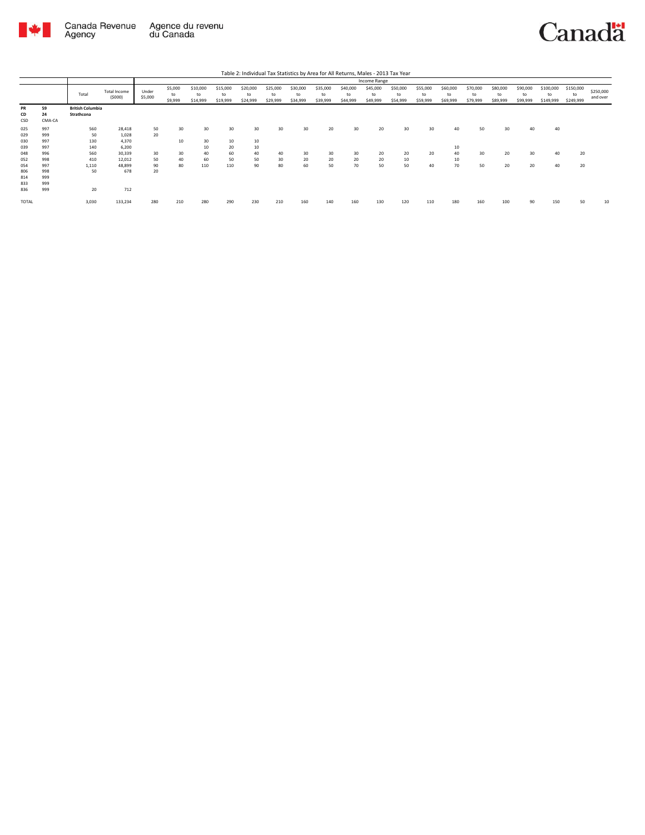

|                   |                    |                                       |                          |                  |                          |                            |                            |                            |                            |                            | Table 2: Individual Tax Statistics by Area for All Returns, Males - 2013 Tax Year |                            |                            |                            |                            |                            |                            |                            |                            |                              |                              |                       |
|-------------------|--------------------|---------------------------------------|--------------------------|------------------|--------------------------|----------------------------|----------------------------|----------------------------|----------------------------|----------------------------|-----------------------------------------------------------------------------------|----------------------------|----------------------------|----------------------------|----------------------------|----------------------------|----------------------------|----------------------------|----------------------------|------------------------------|------------------------------|-----------------------|
|                   |                    |                                       |                          |                  |                          |                            |                            |                            |                            |                            |                                                                                   |                            | Income Range               |                            |                            |                            |                            |                            |                            |                              |                              |                       |
|                   |                    | Total                                 | Total Income<br>(5000)   | Under<br>\$5,000 | \$5,000<br>to<br>\$9,999 | \$10,000<br>to<br>\$14,999 | \$15,000<br>to<br>\$19,999 | \$20,000<br>to<br>\$24,999 | \$25,000<br>to<br>\$29,999 | \$30,000<br>to<br>\$34,999 | \$35,000<br>to<br>\$39,999                                                        | \$40,000<br>to<br>\$44,999 | \$45,000<br>to<br>\$49,999 | \$50,000<br>to<br>\$54,999 | \$55,000<br>to<br>\$59,999 | \$60,000<br>to<br>\$69,999 | \$70,000<br>to<br>\$79,999 | \$80,000<br>to<br>\$89,999 | \$90,000<br>to<br>\$99,999 | \$100,000<br>to<br>\$149,999 | \$150,000<br>to<br>\$249,999 | \$250,000<br>and over |
| PR<br>CD<br>CSD   | 59<br>24<br>CMA-CA | <b>British Columbia</b><br>Strathcona |                          |                  |                          |                            |                            |                            |                            |                            |                                                                                   |                            |                            |                            |                            |                            |                            |                            |                            |                              |                              |                       |
| 025<br>029<br>030 | 997<br>999<br>997  | 560<br>50<br>130                      | 28,418<br>1.028<br>4.370 | 50<br>20         | 30<br>10                 | 30<br>30                   | 30<br>10                   | 30<br>10                   | 30                         | 30                         | 20                                                                                | 30                         | 20                         | 30                         | 30                         | 40                         | 50                         | 30                         | 40                         | 40                           |                              |                       |
| 039<br>048        | 997<br>996         | 140<br>560                            | 6.200<br>30,339          | 30               | 30                       | 10<br>40                   | 20<br>60                   | 10<br>40                   | 40                         | 30                         | 30 <sup>2</sup>                                                                   | 30                         | 20                         | 20                         | 20                         | 10<br>40                   | 30                         | 20                         | 30                         | 40                           | 20                           |                       |
| 052<br>054        | 998<br>997         | 410<br>1,110                          | 12,012<br>48,899         | 50<br>90         | 40<br>80                 | 60<br>110                  | 50<br>110                  | 50<br>90                   | 30<br>80                   | 20<br>60                   | 20<br>50                                                                          | 20<br>70                   | 20<br>50                   | 10<br>50                   | 40                         | 10<br>70                   | 50                         | 20                         | 20                         | 40                           | 20                           |                       |
| 806<br>814<br>833 | 998<br>999<br>999  | 50                                    | 678                      | 20               |                          |                            |                            |                            |                            |                            |                                                                                   |                            |                            |                            |                            |                            |                            |                            |                            |                              |                              |                       |
| 836<br>TOTAL      | 999                | 20<br>3,030                           | 712<br>133,234           | 280              | 210                      | 280                        | 290                        | 230                        | 210                        | 160                        | 140                                                                               | 160                        | 130                        | 120                        | 110                        | 180                        | 160                        | 100                        | 90                         | 150                          | 50                           | 10                    |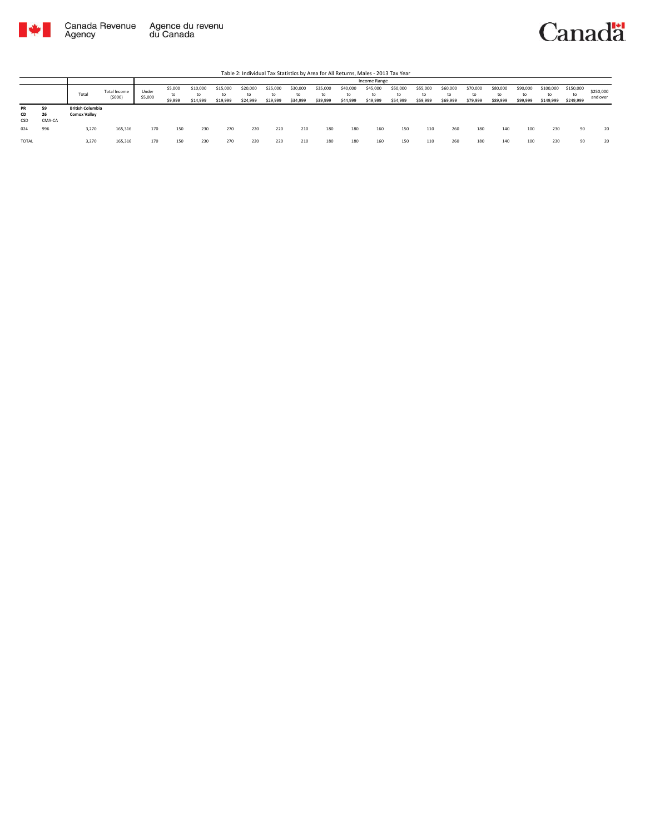

|                 |                    |                                                |                        |                  |                          |                            |                      |                            |                            |                            |                            |                            | Income Range               |                            |                            |                            |                            |                            |                            |                              |                              |                       |
|-----------------|--------------------|------------------------------------------------|------------------------|------------------|--------------------------|----------------------------|----------------------|----------------------------|----------------------------|----------------------------|----------------------------|----------------------------|----------------------------|----------------------------|----------------------------|----------------------------|----------------------------|----------------------------|----------------------------|------------------------------|------------------------------|-----------------------|
|                 |                    | Total                                          | Total Income<br>(5000) | Under<br>\$5,000 | \$5,000<br>to<br>\$9,999 | \$10,000<br>to<br>\$14,999 | \$15,000<br>\$19,999 | \$20,000<br>to<br>\$24,999 | \$25,000<br>to<br>\$29,999 | \$30,000<br>to<br>\$34,999 | \$35,000<br>to<br>\$39,999 | \$40,000<br>to<br>\$44,999 | \$45,000<br>to<br>\$49,999 | \$50,000<br>to<br>\$54,999 | \$55,000<br>to<br>\$59,999 | \$60,000<br>to<br>\$69,999 | \$70,000<br>to<br>\$79,999 | \$80,000<br>to<br>\$89,999 | \$90,000<br>to<br>\$99,999 | \$100,000<br>to<br>\$149,999 | \$150,000<br>to<br>\$249,999 | \$250,000<br>and over |
| PR<br>CD<br>CSD | 59<br>26<br>CMA-CA | <b>British Columbia</b><br><b>Comox Valley</b> |                        |                  |                          |                            |                      |                            |                            |                            |                            |                            |                            |                            |                            |                            |                            |                            |                            |                              |                              |                       |
| 024             | 996                | 3,270                                          | 165,316                | 170              | 150                      | 230                        | 270                  | 220                        | 220                        | 210                        | 180                        | 180                        | 160                        | 150                        | 110                        | 260                        | 180                        | 140                        | 100                        | 230                          | 90                           | 20                    |
| TOTAL           |                    | 3,270                                          | 165,316                | 170              | 150                      | 230                        | 270                  | 220                        | 220                        | 210                        | 180                        | 180                        | 160                        | 150                        | 110                        | 260                        | 180                        | 140                        | 100                        | 230                          | 90                           | 20                    |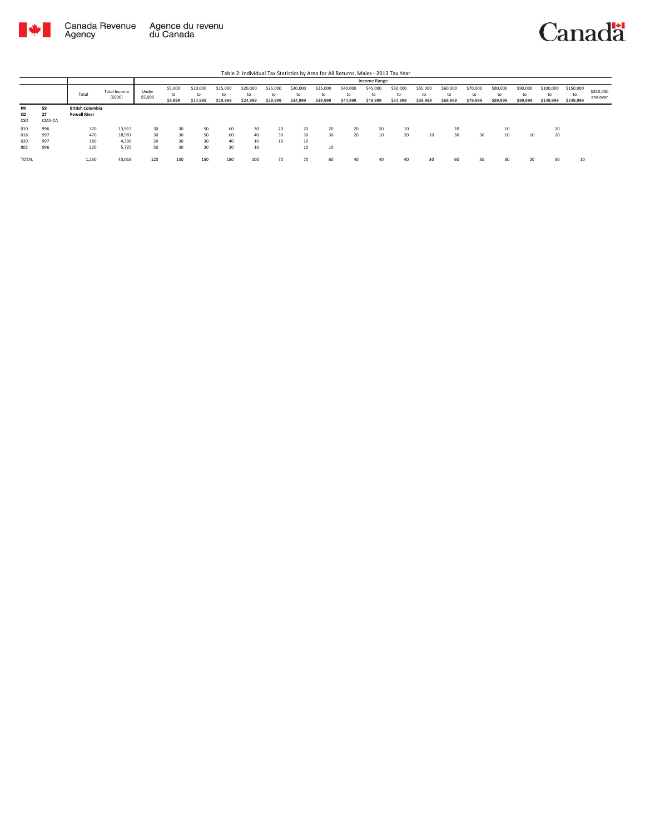

|           |        |                         |                        |                  |                          |                            |                            |                      |                            |                            |                            |                            | Income Range               |                            |                            |                            |                            |                            |                            |                              |                              |                       |
|-----------|--------|-------------------------|------------------------|------------------|--------------------------|----------------------------|----------------------------|----------------------|----------------------------|----------------------------|----------------------------|----------------------------|----------------------------|----------------------------|----------------------------|----------------------------|----------------------------|----------------------------|----------------------------|------------------------------|------------------------------|-----------------------|
|           |        | Total                   | Total Income<br>(5000) | Under<br>\$5,000 | \$5,000<br>to<br>\$9,999 | \$10,000<br>to<br>\$14,999 | \$15,000<br>to<br>\$19,999 | \$20,000<br>\$24,999 | \$25,000<br>to<br>\$29,999 | \$30,000<br>to<br>\$34,999 | \$35,000<br>to<br>\$39,999 | \$40,000<br>to<br>\$44,999 | \$45,000<br>to<br>\$49,999 | \$50,000<br>to<br>\$54,999 | \$55,000<br>to<br>\$59,999 | \$60,000<br>to<br>\$69,999 | \$70,000<br>to<br>\$79,999 | \$80,000<br>to<br>\$89,999 | \$90,000<br>to<br>\$99,999 | \$100,000<br>to<br>\$149,999 | \$150,000<br>to<br>\$249,999 | \$250,000<br>and over |
| <b>PR</b> | 59     | <b>British Columbia</b> |                        |                  |                          |                            |                            |                      |                            |                            |                            |                            |                            |                            |                            |                            |                            |                            |                            |                              |                              |                       |
| CD        | 27     | <b>Powell River</b>     |                        |                  |                          |                            |                            |                      |                            |                            |                            |                            |                            |                            |                            |                            |                            |                            |                            |                              |                              |                       |
| CSD       | CMA-CA |                         |                        |                  |                          |                            |                            |                      |                            |                            |                            |                            |                            |                            |                            |                            |                            |                            |                            |                              |                              |                       |
| 010       | 996    | 370                     | 13,915                 | 30               | 30                       | 50                         | 60                         | 30                   | 20                         | 20                         | 20                         | 20                         | 20                         | 10                         |                            | 20                         |                            | 10                         |                            | 20                           |                              |                       |
| 018       | 997    | 470                     | 18,987                 | 30               | 30                       | 50                         | 60                         | 40                   | 30                         | 30                         | 30                         | 20                         | 10                         | 20                         | 10                         | 30                         | 30                         | 10                         | 10                         | 20                           |                              |                       |
| 020       | 997    | 180                     | 4.390                  | 20               | 30                       | 30                         | 40                         | 10                   | 10                         | 10                         |                            |                            |                            |                            |                            |                            |                            |                            |                            |                              |                              |                       |
| 802       | 996    | 220                     | 5,725                  | 50               | 30                       | 30                         | 30                         | 10                   |                            | 10                         | 10                         |                            |                            |                            |                            |                            |                            |                            |                            |                              |                              |                       |
| TOTAL     |        | 1,230                   | 43,016                 | 120              | 130                      | 150                        | 180                        | 100                  | 70                         | 70                         | 60                         | 40                         | 40                         | 40                         |                            | 60                         | 50                         |                            | 20                         | 50                           | 10                           |                       |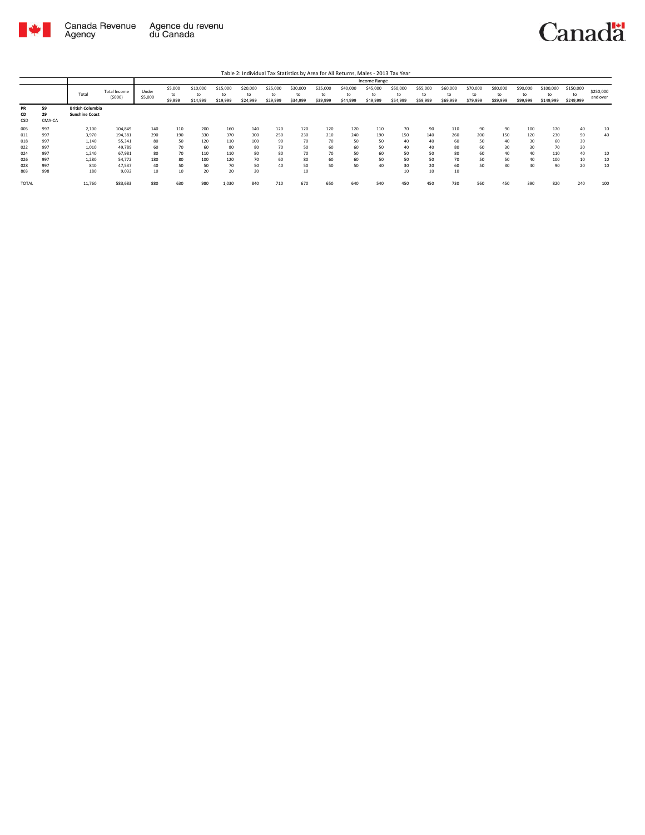

|                        |                    |                                                  |                        |                  |                          |                            |                            |                      |                            |                      |                            |                            | Income Range               |                            |                      |                            |                            |                            |                            |                              |                        |                       |
|------------------------|--------------------|--------------------------------------------------|------------------------|------------------|--------------------------|----------------------------|----------------------------|----------------------|----------------------------|----------------------|----------------------------|----------------------------|----------------------------|----------------------------|----------------------|----------------------------|----------------------------|----------------------------|----------------------------|------------------------------|------------------------|-----------------------|
|                        |                    | Total                                            | Total Income<br>(5000) | Under<br>\$5,000 | \$5,000<br>to<br>\$9,999 | \$10,000<br>to<br>\$14,999 | \$15,000<br>to<br>\$19,999 | \$20,000<br>\$24,999 | \$25,000<br>to<br>\$29,999 | \$30,000<br>\$34,999 | \$35,000<br>to<br>\$39,999 | \$40,000<br>to<br>\$44,999 | \$45,000<br>to<br>\$49,999 | \$50,000<br>to<br>\$54,999 | \$55,000<br>\$59,999 | \$60,000<br>to<br>\$69,999 | \$70,000<br>to<br>\$79,999 | \$80,000<br>to<br>\$89,999 | \$90,000<br>to<br>\$99,999 | \$100,000<br>to<br>\$149,999 | \$150,000<br>\$249,999 | \$250,000<br>and over |
| <b>PR</b><br>CD<br>CSD | 59<br>29<br>CMA-CA | <b>British Columbia</b><br><b>Sunshine Coast</b> |                        |                  |                          |                            |                            |                      |                            |                      |                            |                            |                            |                            |                      |                            |                            |                            |                            |                              |                        |                       |
| 005                    | 997                | 2,100                                            | 104,849                | 140              | 110                      | 200                        | 160                        | 140                  | 120                        | 120                  | 120                        | 120                        | 110                        | 70                         | 90                   | 110                        | 90                         | 90                         | 100                        | 170                          | 40                     | 10                    |
| 011                    | 997                | 3.970                                            | 194.381                | 290              | 190                      | 330                        | 370                        | 300                  | 250                        | 230                  | 210                        | 240                        | 190                        | 150                        | 140                  | 260                        | 200                        | 150                        | 120                        | 230                          | 90                     | 40                    |
| 018                    | 997                | 1.140                                            | 55.341                 | 80               | 50                       | 120                        | 110                        | 100                  | 90                         | 70                   | 70                         | 50                         | 50                         | 40                         | 40                   | 60                         | 50                         | 40                         | 30                         | 60                           | 30                     |                       |
| 022                    | 997                | 1.010                                            | 49.789                 | 60               | 70                       | 60                         | 80                         | 80                   | 70                         | 50                   | 60                         | 60                         | 50                         | 40                         | 40                   | 80                         | 60                         | 30                         | 30                         | 70                           | 20                     |                       |
| 024                    | 997                | 1,240                                            | 67.981                 | 80               | 70                       | 110                        | 110                        | 80                   | 80                         | 70                   | 70                         | 50                         | 60                         | 50                         | 50                   | 80                         | 60                         | 40                         | 40                         | 110                          | 40                     | 10                    |
| 026                    | 997                | 1.280                                            | 54.772                 | 180              | 80                       | 100                        | 120                        | 70                   |                            | 80                   | 60                         | 60                         | 50                         | 50                         | 50                   | 70                         | 50                         | 50                         | 40                         | 100                          | 10                     | 10                    |
| 028                    | 997                | 840                                              | 47,537                 | 40               | 50                       | 50                         | 70                         | 50                   |                            | 50                   | 50                         | 50                         | 40                         | 30                         | 20                   | 60                         | 50                         | 30                         | 40                         | 90                           | 20                     | 10                    |
| 803                    | 998                | 180                                              | 9.032                  | 10               | 10                       | 20                         | 20                         | 20                   |                            | 10                   |                            |                            |                            | 10                         | 10                   | 10                         |                            |                            |                            |                              |                        |                       |
| <b>TOTAL</b>           |                    | 11,760                                           | 583,683                | 880              | 630                      | 980                        | 1,030                      | 840                  | 710                        | 670                  | 650                        | 640                        | 540                        | 450                        | 450                  | 730                        | 560                        | 450                        | 390                        | 820                          | 240                    | 100                   |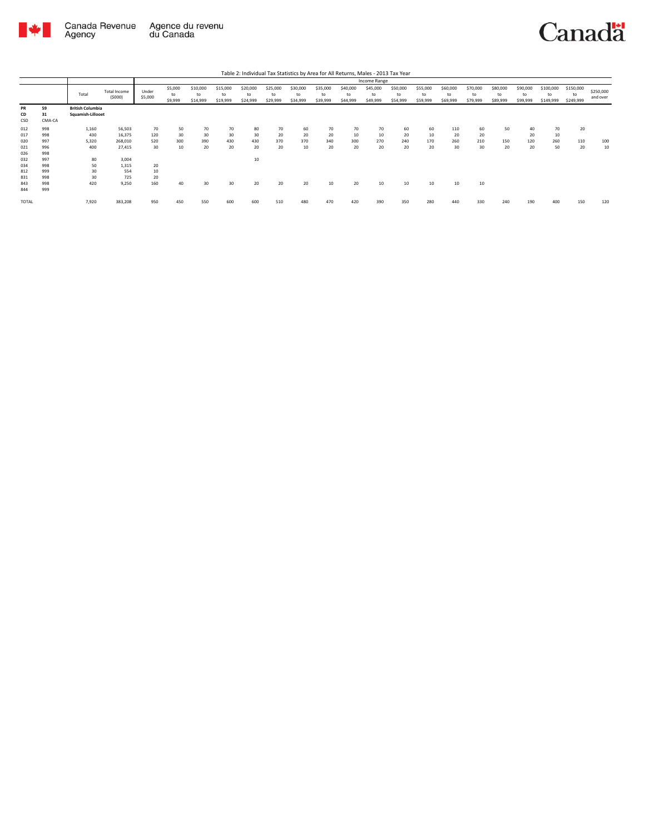

|                        |                    |                                              |                               |                  |                          |                            |                            |                            |                            |                            |                            |                            | Income Range               |                            |                            |                            |                            |                            |                            |                              |                              |                       |
|------------------------|--------------------|----------------------------------------------|-------------------------------|------------------|--------------------------|----------------------------|----------------------------|----------------------------|----------------------------|----------------------------|----------------------------|----------------------------|----------------------------|----------------------------|----------------------------|----------------------------|----------------------------|----------------------------|----------------------------|------------------------------|------------------------------|-----------------------|
|                        |                    | Total                                        | <b>Total Income</b><br>(5000) | Under<br>\$5,000 | \$5,000<br>to<br>\$9,999 | \$10,000<br>to<br>\$14,999 | \$15,000<br>to<br>\$19,999 | \$20,000<br>to<br>\$24,999 | \$25,000<br>to<br>\$29,999 | \$30,000<br>to<br>\$34,999 | \$35,000<br>to<br>\$39,999 | \$40,000<br>to<br>\$44,999 | \$45,000<br>to<br>\$49,999 | \$50,000<br>to<br>\$54,999 | \$55,000<br>to<br>\$59,999 | \$60,000<br>to<br>\$69,999 | \$70,000<br>to<br>\$79,999 | \$80,000<br>to<br>\$89,999 | \$90,000<br>to<br>\$99,999 | \$100,000<br>to<br>\$149,999 | \$150,000<br>to<br>\$249,999 | \$250,000<br>and over |
| <b>PR</b><br>CD<br>CSD | 59<br>31<br>CMA-CA | <b>British Columbia</b><br>Squamish-Lillooet |                               |                  |                          |                            |                            |                            |                            |                            |                            |                            |                            |                            |                            |                            |                            |                            |                            |                              |                              |                       |
| 012                    | 998                | 1,160                                        | 56,503                        | 70               | 50                       | 70                         | 70                         | 80                         | 70                         | 60                         | 70                         | 70                         | 70                         | 60                         | 60                         | 110                        | 60                         | 50                         | 40                         | 70                           | 20                           |                       |
| 017                    | 998                | 430                                          | 16,375                        | 120              | 30 <sup>°</sup>          | 30                         | 30                         | 30                         | 20                         | 20                         | 20                         | 10                         | 10                         | 20                         | 10                         | 20                         | 20                         |                            | 20                         | 10                           |                              |                       |
| 020                    | 997                | 5.320                                        | 268,010                       | 520              | 300                      | 390                        | 430                        | 430                        | 370                        | 370                        | 340                        | 300                        | 270                        | 240                        | 170                        | 260                        | 210                        | 150                        | 120                        | 260                          | 110                          | 100                   |
| 021                    | 996                | 400                                          | 27,415                        | 30 <sup>2</sup>  | 10                       | 20                         | 20                         | 20                         | 20                         | 10                         | 20                         | 20                         | 20                         | 20                         | 20                         | 30                         | 30                         | 20                         | 20                         | 50                           | 20                           | 10                    |
| 026                    | 998                |                                              |                               |                  |                          |                            |                            |                            |                            |                            |                            |                            |                            |                            |                            |                            |                            |                            |                            |                              |                              |                       |
| 032                    | 997                | 80                                           | 3,004                         |                  |                          |                            |                            | 10                         |                            |                            |                            |                            |                            |                            |                            |                            |                            |                            |                            |                              |                              |                       |
| 034                    | 998                | 50                                           | 1,315                         | 20               |                          |                            |                            |                            |                            |                            |                            |                            |                            |                            |                            |                            |                            |                            |                            |                              |                              |                       |
| 812                    | 999                | 30                                           | 554                           | 10               |                          |                            |                            |                            |                            |                            |                            |                            |                            |                            |                            |                            |                            |                            |                            |                              |                              |                       |
| 831                    | 998                | 30                                           | 725                           | 20               |                          |                            |                            |                            |                            |                            |                            |                            |                            |                            |                            |                            |                            |                            |                            |                              |                              |                       |
| 843                    | 998                | 420                                          | 9,250                         | 160              | 40                       | 30                         | 30                         | 20                         | 20                         | 20                         | 10                         | 20                         | 10                         | 10                         | 10                         | 10                         | 10                         |                            |                            |                              |                              |                       |
| 844                    | 999                |                                              |                               |                  |                          |                            |                            |                            |                            |                            |                            |                            |                            |                            |                            |                            |                            |                            |                            |                              |                              |                       |
| TOTAL                  |                    | 7,920                                        | 383,208                       | 950              | 450                      | 550                        | 600                        | 600                        | 510                        | 480                        | 470                        | 420                        | 390                        | 350                        | 280                        | 440                        | 330                        | 240                        | 190                        | 400                          | 150                          | 120                   |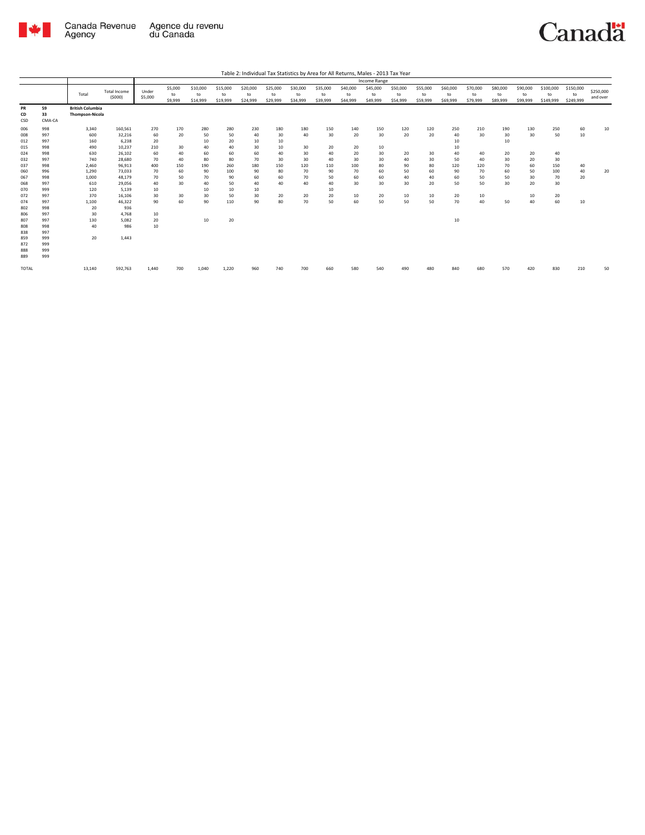

|                                               |                                               |                                                   |                                                                    |                                           |                                    |                                          |                                          |                                          |                                          |                                    |                                    |                                    | <b>Income Range</b>               |                             |                             |                                          |                              |                                   |                             |                              |                 |           |
|-----------------------------------------------|-----------------------------------------------|---------------------------------------------------|--------------------------------------------------------------------|-------------------------------------------|------------------------------------|------------------------------------------|------------------------------------------|------------------------------------------|------------------------------------------|------------------------------------|------------------------------------|------------------------------------|-----------------------------------|-----------------------------|-----------------------------|------------------------------------------|------------------------------|-----------------------------------|-----------------------------|------------------------------|-----------------|-----------|
|                                               |                                               |                                                   | <b>Total Income</b>                                                | Under                                     | \$5,000                            | \$10,000                                 | \$15,000                                 | \$20,000                                 | \$25,000                                 | \$30,000                           | \$35,000                           | \$40,000                           | \$45,000                          | \$50,000                    | \$55,000                    | \$60,000                                 | \$70,000                     | \$80,000                          | \$90,000                    | \$100,000                    | \$150,000       | \$250,000 |
|                                               |                                               | Total                                             | (5000)                                                             | \$5,000                                   | to<br>\$9,999                      | to<br>\$14,999                           | to<br>\$19,999                           | to<br>\$24,999                           | to<br>\$29,999                           | to<br>\$34,999                     | to<br>\$39,999                     | to<br>\$44,999                     | to<br>\$49,999                    | to<br>\$54,999              | to<br>\$59,999              | to<br>\$69,999                           | to<br>\$79,999               | to<br>\$89,999                    | to<br>\$99,999              | to<br>\$149,999              | to<br>\$249,999 | and over  |
| PR<br>CD<br>CSD                               | 59<br>33<br>CMA-CA                            | <b>British Columbia</b><br><b>Thompson-Nicola</b> |                                                                    |                                           |                                    |                                          |                                          |                                          |                                          |                                    |                                    |                                    |                                   |                             |                             |                                          |                              |                                   |                             |                              |                 |           |
| 006<br>008<br>012<br>015<br>024<br>032<br>037 | 998<br>997<br>997<br>998<br>998<br>997<br>998 | 3,340<br>600<br>160<br>490<br>630<br>740<br>2,460 | 160,561<br>32,216<br>6,238<br>10,237<br>26,102<br>28,680<br>96,913 | 270<br>60<br>20<br>210<br>60<br>70<br>400 | 170<br>20<br>30<br>40<br>40<br>150 | 280<br>50<br>10<br>40<br>60<br>80<br>190 | 280<br>50<br>20<br>40<br>60<br>80<br>260 | 230<br>40<br>10<br>30<br>60<br>70<br>180 | 180<br>30<br>10<br>10<br>40<br>30<br>150 | 180<br>40<br>30<br>30<br>30<br>120 | 150<br>30<br>20<br>40<br>40<br>110 | 140<br>20<br>20<br>20<br>30<br>100 | 150<br>30<br>10<br>30<br>30<br>80 | 120<br>20<br>20<br>40<br>90 | 120<br>20<br>30<br>30<br>80 | 250<br>40<br>10<br>10<br>40<br>50<br>120 | 210<br>30<br>40<br>40<br>120 | 190<br>30<br>10<br>20<br>30<br>70 | 130<br>30<br>20<br>20<br>60 | 250<br>50<br>40<br>30<br>150 | 60<br>10<br>40  | 10        |
| 060<br>067<br>068<br>070<br>072               | 996<br>998<br>997<br>999<br>997               | 1,290<br>1.000<br>610<br>120<br>370               | 73,033<br>48,179<br>29,056<br>5,139<br>16,106                      | 70<br>70<br>40<br>10<br>30                | 60<br>50<br>30<br>30               | 90<br>70<br>40<br>10<br>30               | 100<br>90<br>50<br>10<br>50              | 90<br>60<br>40<br>10<br>30               | 80<br>60<br>40<br>20                     | 70<br>70<br>40<br>20               | 90<br>50<br>40<br>10<br>20         | 70<br>60<br>30<br>10               | 60<br>60<br>30<br>20              | 50<br>40<br>30<br>10        | 60<br>40<br>20<br>10        | 90<br>60<br>50<br>20                     | 70<br>50<br>50<br>10         | 60<br>50<br>30                    | 50<br>30<br>20<br>10        | 100<br>70<br>30<br>20        | 40<br>20        | 20        |
| 074<br>802<br>806<br>807<br>808<br>838<br>859 | 997<br>998<br>997<br>997<br>998<br>997<br>999 | 1,100<br>20<br>30<br>130<br>40<br>20              | 46.322<br>936<br>4.768<br>5,082<br>986<br>1,443                    | 90<br>10<br>20<br>10                      | 60                                 | 90<br>10                                 | 110<br>20                                | 90                                       | 80                                       | 70                                 | 50                                 | 60                                 | 50                                | 50                          | 50                          | 70<br>10                                 | 40                           | 50                                | 40                          | 60                           | 10              |           |
| 872<br>888<br>889<br>TOTAL                    | 999<br>999<br>999                             | 13,140                                            | 592,763                                                            | 1,440                                     | 700                                | 1.040                                    | 1,220                                    | 960                                      | 740                                      | 700                                | 660                                | 580                                | 540                               | 4 O.C                       |                             | 840                                      | 680                          | 570                               | 420                         | 830                          | 210             | 50        |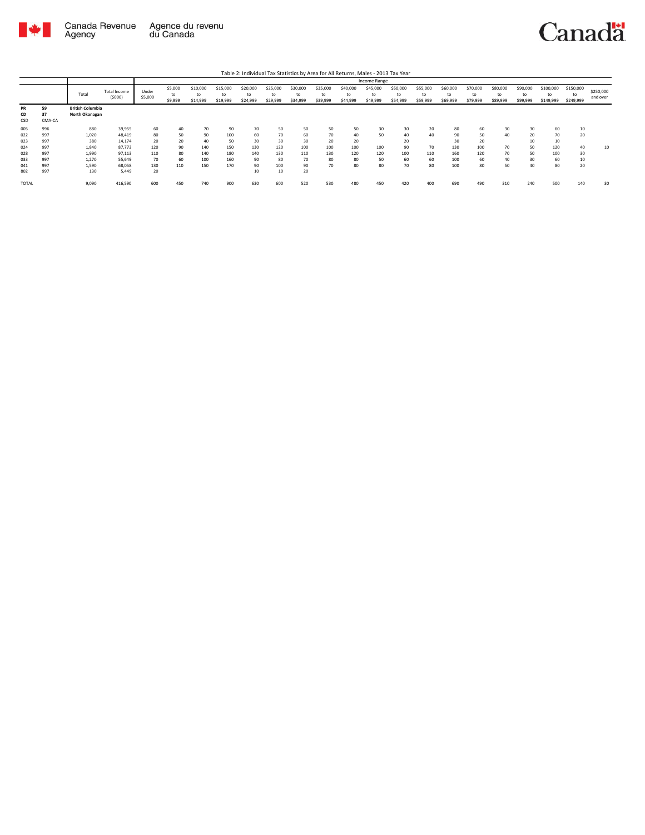

|                        |                    |                                           |                               |                  |                          |                            |                            |                            |                            |                      |                            |                            | Income Range               |                            |                            |                            |                            |                            |                            |                              |                        |                       |
|------------------------|--------------------|-------------------------------------------|-------------------------------|------------------|--------------------------|----------------------------|----------------------------|----------------------------|----------------------------|----------------------|----------------------------|----------------------------|----------------------------|----------------------------|----------------------------|----------------------------|----------------------------|----------------------------|----------------------------|------------------------------|------------------------|-----------------------|
|                        |                    | Total                                     | <b>Total Income</b><br>(5000) | Under<br>\$5,000 | \$5,000<br>to<br>\$9,999 | \$10,000<br>to<br>\$14,999 | \$15,000<br>to<br>\$19,999 | \$20,000<br>to<br>\$24,999 | \$25,000<br>to<br>\$29,999 | \$30,000<br>\$34,999 | \$35,000<br>to<br>\$39,999 | \$40,000<br>to<br>\$44,999 | \$45,000<br>to<br>\$49,999 | \$50,000<br>to<br>\$54,999 | \$55,000<br>to<br>\$59,999 | \$60,000<br>to<br>\$69,999 | \$70,000<br>to<br>\$79,999 | \$80,000<br>to<br>\$89,999 | \$90,000<br>to<br>\$99,999 | \$100,000<br>to<br>\$149,999 | \$150,000<br>\$249,999 | \$250,000<br>and over |
| <b>PR</b><br>CD<br>CSD | 59<br>37<br>CMA-CA | <b>British Columbia</b><br>North Okanagan |                               |                  |                          |                            |                            |                            |                            |                      |                            |                            |                            |                            |                            |                            |                            |                            |                            |                              |                        |                       |
| 005                    | 996                | 880                                       | 39,955                        | 60               | 40                       | 70                         | 90                         | 70                         | 50                         | 50                   | 50                         | 50                         | 30                         | 30                         | 20                         | 80                         | 60                         | 30                         | 30                         | 60                           | 10                     |                       |
| 022                    | 997                | 1.020                                     | 48.419                        | 80               | 50                       | 90                         | 100                        | 60                         | 70                         | 60                   | 70                         | 40                         | 50                         | 40                         | 40                         | 90                         | 50                         | 40                         | 20                         | 70                           | 20                     |                       |
| 023                    | 997                | 380                                       | 14,174                        | 20               | 20                       | 40                         | 50                         | 30                         | 30                         | 30                   | 20                         | 20                         |                            | 20                         |                            | 30                         | 20                         |                            | 10                         | 10                           |                        |                       |
| 024                    | 997                | 1.840                                     | 87.773                        | 120              | 90                       | 140                        | 150                        | 130                        | 120                        | 100                  | 100                        | 100                        | 100                        | 90                         | 70                         | 130                        | 100                        | 70                         | 50                         | 120                          | 40                     | 10                    |
| 028                    | 997                | 1,990                                     | 97.113                        | 110              | 80                       | 140                        | 180                        | 140                        | 130                        | 110                  | 130                        | 120                        | 120                        | 100                        | 110                        | 160                        | 120                        | 70                         | 50                         | 100                          | 30                     |                       |
| 033                    | 997                | 1.270                                     | 55.649                        | 70               | 60                       | 100                        | 160                        | 90                         | 80                         | 70                   | 80                         | 80                         | 50                         | 60                         | 60                         | 100                        | 60                         | 40                         | 30                         | 60                           | 10                     |                       |
| 041                    | 997                | 1.590                                     | 68.058                        | 130              | 110                      | 150                        | 170                        | 90                         | 100                        | 90                   | 70                         | 80                         | 80                         | 70                         | 80                         | 100                        | 80                         | 50                         | 40                         | 80                           | 20                     |                       |
| 802                    | 997                | 130                                       | 5.449                         | 20               |                          |                            |                            | 10                         | 10                         | 20                   |                            |                            |                            |                            |                            |                            |                            |                            |                            |                              |                        |                       |
| <b>TOTAL</b>           |                    | 9,090                                     | 416,590                       | 600              | 450                      | 740                        | 900                        | 630                        | 600                        | 520                  | 530                        | 480                        | 450                        | 420                        | 400                        | 690                        | 490                        | 310                        | 240                        | 500                          | 140                    | 30                    |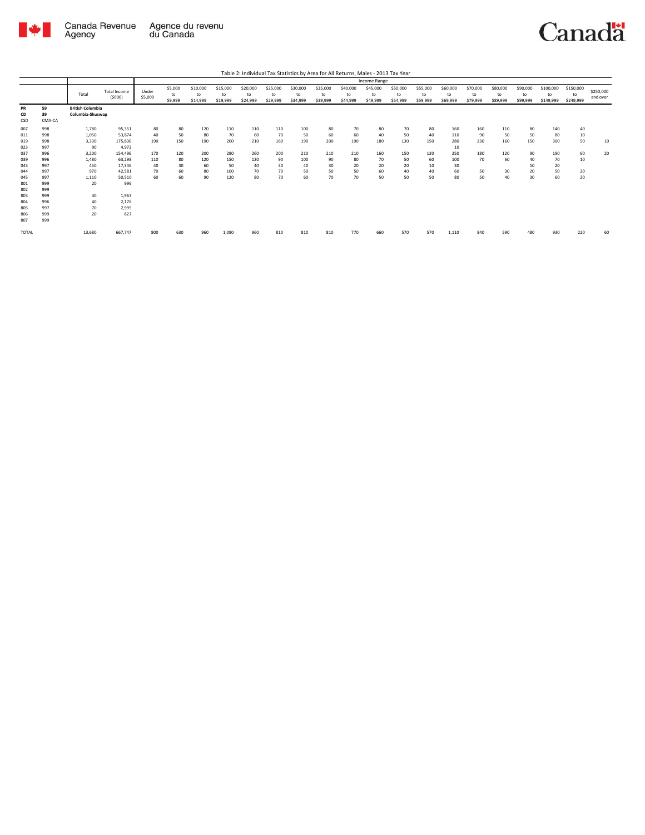

|                   |                    |                                             |                               |                  |                          |                            |                            |                            |                            |                            |                            |                            | Income Range               |                            |                            |                            |                            |                            |                            |                              |                              |                       |
|-------------------|--------------------|---------------------------------------------|-------------------------------|------------------|--------------------------|----------------------------|----------------------------|----------------------------|----------------------------|----------------------------|----------------------------|----------------------------|----------------------------|----------------------------|----------------------------|----------------------------|----------------------------|----------------------------|----------------------------|------------------------------|------------------------------|-----------------------|
|                   |                    | Total                                       | <b>Total Income</b><br>(5000) | Under<br>\$5,000 | \$5,000<br>to<br>\$9,999 | \$10,000<br>to<br>\$14,999 | \$15,000<br>to<br>\$19,999 | \$20,000<br>to<br>\$24,999 | \$25,000<br>to<br>\$29,999 | \$30,000<br>to<br>\$34,999 | \$35,000<br>to<br>\$39,999 | \$40,000<br>to<br>\$44,999 | \$45,000<br>to<br>\$49,999 | \$50,000<br>to<br>\$54,999 | \$55,000<br>to<br>\$59,999 | \$60,000<br>to<br>\$69,999 | \$70,000<br>to<br>\$79,999 | \$80,000<br>to<br>\$89,999 | \$90,000<br>to<br>\$99,999 | \$100,000<br>to<br>\$149,999 | \$150,000<br>to<br>\$249,999 | \$250,000<br>and over |
| PR<br>CD<br>CSD   | 59<br>39<br>CMA-CA | <b>British Columbia</b><br>Columbia-Shuswap |                               |                  |                          |                            |                            |                            |                            |                            |                            |                            |                            |                            |                            |                            |                            |                            |                            |                              |                              |                       |
| 007<br>011<br>019 | 998<br>998<br>998  | 1,780<br>1,050<br>3,330                     | 95,351<br>53,874<br>175,830   | 80<br>40<br>190  | 80<br>50<br>150          | 120<br>80<br>190           | 110<br>70<br>200           | 110<br>60<br>210           | 110<br>70<br>160           | 100<br>50<br>190           | 80<br>60<br>200            | 70<br>60<br>190            | 80<br>40<br>180            | 70<br>50<br>130            | 80<br>40<br>150            | 160<br>110<br>280          | 160<br>90<br>230           | 110<br>50<br>160           | 80<br>50<br>150            | 140<br>80<br>300             | 40<br>10<br>50               | 10                    |
| 023               | 997<br>996         | 90<br>3,200                                 | 4,972<br>154,496              | 170              | 120                      | 200                        | 280                        | 260                        | 200                        | 210                        | 210                        | 210                        | 160                        | 150                        | 130                        | 10<br>250                  | 180                        | 120                        | 90                         | 190                          | 60                           | 20                    |
| 037<br>039<br>043 | 996<br>997         | 1.480<br>450                                | 63.298<br>17,346              | 110<br>40        | 80<br>30                 | 120<br>60                  | 150<br>50                  | 120<br>40                  | 90<br>30                   | 100<br>40                  | 90<br>30                   | 80<br>20                   | 70<br>20                   | 50<br>20                   | 60<br>10                   | 100<br>30                  | 70                         | 60                         | 40<br>10                   | 70<br>20                     | 10                           |                       |
| 044<br>045        | 997<br>997         | 970<br>1,110                                | 42,581<br>50,510              | 70<br>60         | 60<br>60                 | 80<br>90                   | 100<br>120                 | 70<br>80                   | 70<br>70                   | 50<br>60                   | 50<br>70                   | 50<br>70                   | 60<br>50                   | 40<br>50                   | 40<br>50                   | 60<br>80                   | 50<br>50                   | 30<br>40                   | 20<br>30                   | 50<br>60                     | 20<br>20                     |                       |
| 801<br>802        | 999<br>999         | 20                                          | 996                           |                  |                          |                            |                            |                            |                            |                            |                            |                            |                            |                            |                            |                            |                            |                            |                            |                              |                              |                       |
| 803<br>804        | 999<br>996         | 40<br>40                                    | 1,963<br>2,176                |                  |                          |                            |                            |                            |                            |                            |                            |                            |                            |                            |                            |                            |                            |                            |                            |                              |                              |                       |
| 805<br>806<br>807 | 997<br>999<br>999  | 70<br>20                                    | 2,995<br>827                  |                  |                          |                            |                            |                            |                            |                            |                            |                            |                            |                            |                            |                            |                            |                            |                            |                              |                              |                       |
| TOTAL             |                    | 13,680                                      | 667,747                       | 800              | 630                      | 960                        | 1,090                      | 960                        | 810                        | 810                        | 810                        | 770                        | 660                        | 570                        | 570                        | 1,110                      | 840                        | 590                        | 480                        | 930                          | 220                          | 60                    |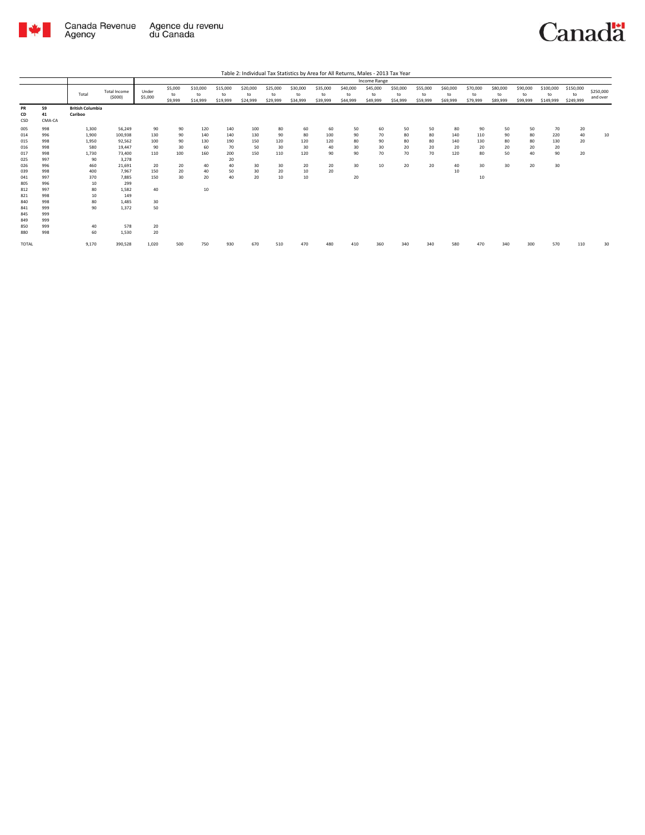

|                                                                                                                     |                                                                                                                     |                                                                                                        |                                                                                                                                      |                                                                           |                                               |                                                        |                                                        |                                                  |                                                |                                                |                                          |                                        | Income Range                     |                                  |                                  |                                           |                                          |                                  |                                  |                                    |                              |                       |
|---------------------------------------------------------------------------------------------------------------------|---------------------------------------------------------------------------------------------------------------------|--------------------------------------------------------------------------------------------------------|--------------------------------------------------------------------------------------------------------------------------------------|---------------------------------------------------------------------------|-----------------------------------------------|--------------------------------------------------------|--------------------------------------------------------|--------------------------------------------------|------------------------------------------------|------------------------------------------------|------------------------------------------|----------------------------------------|----------------------------------|----------------------------------|----------------------------------|-------------------------------------------|------------------------------------------|----------------------------------|----------------------------------|------------------------------------|------------------------------|-----------------------|
|                                                                                                                     |                                                                                                                     | Total                                                                                                  | <b>Total Income</b><br>(5000)                                                                                                        | Under<br>\$5,000                                                          | \$5,000<br>to<br>\$9,999                      | \$10,000<br>to<br>\$14,999                             | \$15,000<br>to<br>\$19,999                             | \$20,000<br>to<br>\$24,999                       | \$25,000<br>to<br>\$29,999                     | \$30,000<br>to<br>\$34,999                     | \$35,000<br>to<br>\$39,999               | \$40,000<br>to<br>\$44,999             | \$45,000<br>to<br>\$49,999       | \$50,000<br>to<br>\$54,999       | \$55,000<br>to<br>\$59,999       | \$60,000<br>to<br>\$69,999                | \$70,000<br>to<br>\$79,999               | \$80,000<br>to<br>\$89,999       | \$90,000<br>to<br>\$99,999       | \$100,000<br>to<br>\$149,999       | \$150,000<br>to<br>\$249,999 | \$250,000<br>and over |
| PR<br>CD<br>CSD                                                                                                     | 59<br>41<br>CMA-CA                                                                                                  | <b>British Columbia</b><br>Cariboo                                                                     |                                                                                                                                      |                                                                           |                                               |                                                        |                                                        |                                                  |                                                |                                                |                                          |                                        |                                  |                                  |                                  |                                           |                                          |                                  |                                  |                                    |                              |                       |
| 005<br>014<br>015<br>016<br>017<br>025<br>026<br>039<br>041<br>805<br>812<br>821<br>840<br>841<br>845<br>849<br>850 | 998<br>996<br>998<br>998<br>998<br>997<br>996<br>998<br>997<br>996<br>997<br>998<br>998<br>999<br>999<br>999<br>999 | 1,300<br>1,900<br>1,950<br>580<br>1,730<br>90<br>460<br>400<br>370<br>10<br>80<br>10<br>80<br>90<br>40 | 56,249<br>100,938<br>92,562<br>19,447<br>73,400<br>3,278<br>21,691<br>7.967<br>7.885<br>299<br>1,582<br>149<br>1,485<br>1.372<br>578 | 90<br>130<br>100<br>90<br>110<br>20<br>150<br>150<br>40<br>30<br>50<br>20 | 90<br>90<br>90<br>30<br>100<br>20<br>20<br>30 | 120<br>140<br>130<br>60<br>160<br>40<br>40<br>20<br>10 | 140<br>140<br>190<br>70<br>200<br>20<br>40<br>50<br>40 | 100<br>130<br>150<br>50<br>150<br>30<br>30<br>20 | 80<br>90<br>120<br>30<br>110<br>30<br>20<br>10 | 60<br>80<br>120<br>30<br>120<br>20<br>10<br>10 | 60<br>100<br>120<br>40<br>90<br>20<br>20 | 50<br>90<br>80<br>30<br>90<br>30<br>20 | 60<br>70<br>90<br>30<br>70<br>10 | 50<br>80<br>80<br>20<br>70<br>20 | 50<br>80<br>80<br>20<br>70<br>20 | 80<br>140<br>140<br>20<br>120<br>40<br>10 | 90<br>110<br>130<br>20<br>80<br>30<br>10 | 50<br>90<br>80<br>20<br>50<br>30 | 50<br>80<br>80<br>20<br>40<br>20 | 70<br>220<br>130<br>20<br>90<br>30 | 20<br>40<br>20<br>20         | 10                    |
| 880<br>TOTAL                                                                                                        | 998                                                                                                                 | 60<br>9,170                                                                                            | 1,530<br>390,528                                                                                                                     | 20<br>1,020                                                               | 500                                           | 750                                                    | 930                                                    | 670                                              | 510                                            | 470                                            | 480                                      | 410                                    | 360                              | 340                              | 340                              | 580                                       | 470                                      | 340                              | 300                              | 570                                | 110                          | 30                    |
|                                                                                                                     |                                                                                                                     |                                                                                                        |                                                                                                                                      |                                                                           |                                               |                                                        |                                                        |                                                  |                                                |                                                |                                          |                                        |                                  |                                  |                                  |                                           |                                          |                                  |                                  |                                    |                              |                       |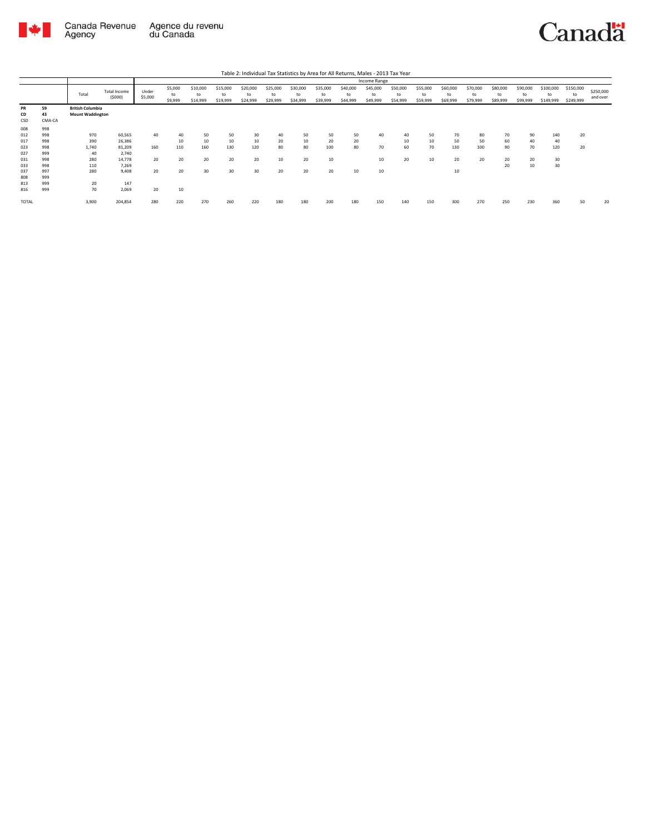

Canada Revenue<br>Agency Agence du revenu<br>du Canada Canadä

|  | Table 2: Individual Tax Statistics by Area for All Returns, Males - 2013 Tax Year |  |  |  |  |  |
|--|-----------------------------------------------------------------------------------|--|--|--|--|--|
|--|-----------------------------------------------------------------------------------|--|--|--|--|--|

|                   |                    |                                                    |                               |                  |                          |                            |                            |                            |                            |                            |                            |                            | Income Range               |                            |                            |                            |                            |                            |                            |                              |                              |                       |
|-------------------|--------------------|----------------------------------------------------|-------------------------------|------------------|--------------------------|----------------------------|----------------------------|----------------------------|----------------------------|----------------------------|----------------------------|----------------------------|----------------------------|----------------------------|----------------------------|----------------------------|----------------------------|----------------------------|----------------------------|------------------------------|------------------------------|-----------------------|
|                   |                    | Total                                              | <b>Total Income</b><br>(5000) | Under<br>\$5,000 | \$5,000<br>to<br>\$9,999 | \$10,000<br>to<br>\$14,999 | \$15,000<br>to<br>\$19,999 | \$20,000<br>to<br>\$24,999 | \$25,000<br>to<br>\$29,999 | \$30,000<br>to<br>\$34,999 | \$35,000<br>to<br>\$39,999 | \$40,000<br>to<br>\$44,999 | \$45,000<br>to<br>\$49,999 | \$50,000<br>to<br>\$54,999 | \$55,000<br>to<br>\$59,999 | \$60,000<br>to<br>\$69,999 | \$70,000<br>to<br>\$79,999 | \$80,000<br>to<br>\$89,999 | \$90,000<br>to<br>\$99,999 | \$100,000<br>to<br>\$149,999 | \$150,000<br>to<br>\$249,999 | \$250,000<br>and over |
| PR<br>CD<br>CSD   | 59<br>43<br>CMA-CA | <b>British Columbia</b><br><b>Mount Waddington</b> |                               |                  |                          |                            |                            |                            |                            |                            |                            |                            |                            |                            |                            |                            |                            |                            |                            |                              |                              |                       |
| 008<br>012<br>017 | 998<br>998<br>998  | 970<br>390                                         | 60,565<br>26,386              | 40               | 40<br>10                 | 50<br>10                   | 50<br>10                   | 30<br>10                   | 40<br>20                   | 50<br>10                   | 50<br>20                   | 50<br>20                   | 40                         | 40<br>10                   | 50<br>10                   | 70<br>50                   | 80<br>50                   | 70<br>60                   | 90<br>40                   | 140<br>40                    | 20                           |                       |
| 023<br>027        | 998<br>999         | 1,740<br>40                                        | 81,209<br>2,740               | 160              | 110                      | 160                        | 130                        | 120                        | 80                         | 80                         | 100                        | 80                         | 70                         | 60                         | 70                         | 130                        | 100                        | 90                         | 70                         | 120                          | 20                           |                       |
| 031<br>033        | 998<br>998         | 280<br>110                                         | 14,778<br>7,269               | 20               | 20                       | 20                         | 20                         | 20                         | 10                         | 20                         | 10                         |                            | 10                         | 20                         | 10                         | 20                         | 20                         | 20<br>20                   | 20<br>10                   | 30<br>30                     |                              |                       |
| 037<br>808        | 997<br>999         | 280                                                | 9,408                         | 20               | 20                       | 30                         | 30                         | 30                         | 20                         | 20                         | 20                         | 10                         | 10                         |                            |                            | 10                         |                            |                            |                            |                              |                              |                       |
| 813<br>816        | 999<br>999         | 20<br>70                                           | 147<br>2,069                  | 20               | 10                       |                            |                            |                            |                            |                            |                            |                            |                            |                            |                            |                            |                            |                            |                            |                              |                              |                       |
| <b>TOTAL</b>      |                    | 3,900                                              | 204,854                       | 280              | 220                      | 270                        | 260                        | 220                        | 180                        | 180                        | 200                        | 180                        | 150                        | 140                        | 150                        | 300                        | 270                        | 250                        | 230                        | 360                          | 50                           | 20                    |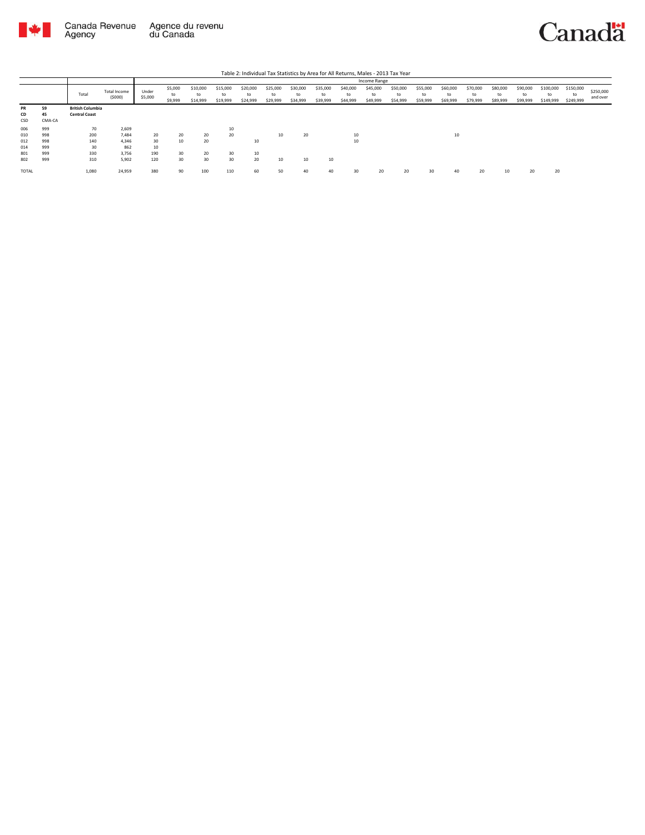

|                        |                    |                                                 |                        |                  |                          |                            |                            |                            |                            |                            |                            |                            | Income Range               |                            |                            |                            |                            |                            |                            |                              |                              |                       |
|------------------------|--------------------|-------------------------------------------------|------------------------|------------------|--------------------------|----------------------------|----------------------------|----------------------------|----------------------------|----------------------------|----------------------------|----------------------------|----------------------------|----------------------------|----------------------------|----------------------------|----------------------------|----------------------------|----------------------------|------------------------------|------------------------------|-----------------------|
|                        |                    | Total                                           | Total Income<br>(5000) | Under<br>\$5,000 | \$5,000<br>to<br>\$9,999 | \$10,000<br>to<br>\$14,999 | \$15,000<br>to<br>\$19,999 | \$20,000<br>to<br>\$24,999 | \$25,000<br>to<br>\$29,999 | \$30,000<br>to<br>\$34,999 | \$35,000<br>to<br>\$39,999 | \$40,000<br>to<br>\$44,999 | \$45,000<br>to<br>\$49,999 | \$50,000<br>to<br>\$54,999 | \$55,000<br>to<br>\$59,999 | \$60,000<br>to<br>\$69,999 | \$70,000<br>to<br>\$79,999 | \$80,000<br>to<br>\$89,999 | \$90,000<br>to<br>\$99,999 | \$100,000<br>to<br>\$149,999 | \$150,000<br>to<br>\$249,999 | \$250,000<br>and over |
| <b>PR</b><br>CD<br>CSD | 59<br>45<br>CMA-CA | <b>British Columbia</b><br><b>Central Coast</b> |                        |                  |                          |                            |                            |                            |                            |                            |                            |                            |                            |                            |                            |                            |                            |                            |                            |                              |                              |                       |
|                        |                    |                                                 |                        |                  |                          |                            |                            |                            |                            |                            |                            |                            |                            |                            |                            |                            |                            |                            |                            |                              |                              |                       |
| 006                    | 999                | 70                                              | 2,609                  |                  |                          |                            | 10                         |                            |                            |                            |                            |                            |                            |                            |                            |                            |                            |                            |                            |                              |                              |                       |
| 010                    | 998                | 200                                             | 7.484                  | 20               | 20                       | 20                         | 20                         |                            | 10                         | 20                         |                            | 10                         |                            |                            |                            | 10                         |                            |                            |                            |                              |                              |                       |
| 012                    | 998                | 140                                             | 4.346                  | 30               | 10                       | 20                         |                            | 10                         |                            |                            |                            | 10                         |                            |                            |                            |                            |                            |                            |                            |                              |                              |                       |
| 014                    | 999                | 30                                              | 862                    | 10               |                          |                            |                            |                            |                            |                            |                            |                            |                            |                            |                            |                            |                            |                            |                            |                              |                              |                       |
| 801                    | 999                | 330                                             | 3.756                  | 190              | 30                       | 20                         | 30                         | 10                         |                            |                            |                            |                            |                            |                            |                            |                            |                            |                            |                            |                              |                              |                       |
| 802                    | 999                | 310                                             | 5,902                  | 120              | 30                       | 30                         | 30                         | 20                         | 10                         | 10                         | 10                         |                            |                            |                            |                            |                            |                            |                            |                            |                              |                              |                       |
| TOTAL                  |                    | 1,080                                           | 24,959                 | 380              | 90                       | 100                        | 110                        | 60                         | 50                         | 40                         | 40                         | 30                         | 20                         | 20                         | 30                         | 40                         | 20                         | 10                         | 20                         | 20                           |                              |                       |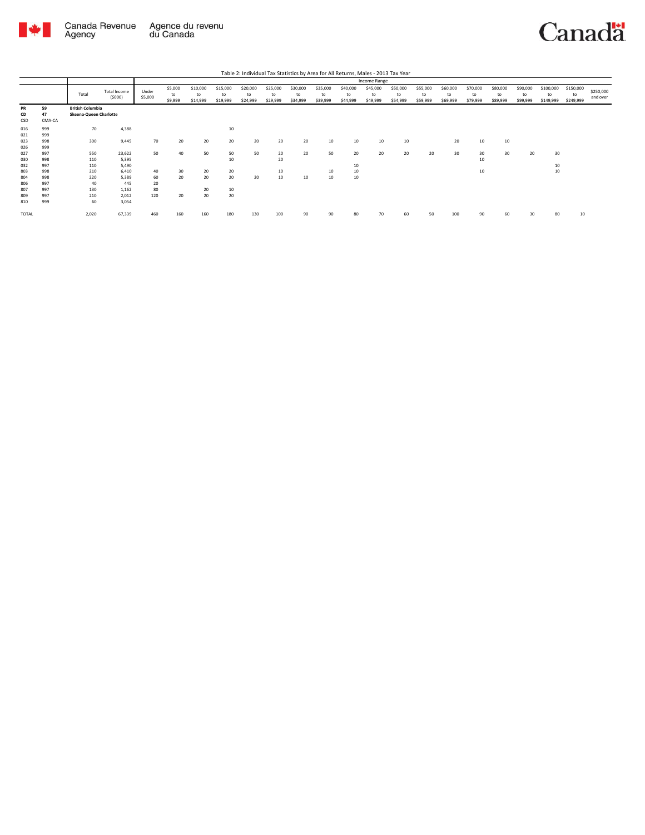

|                          |                          |                                                   |                                |                       |                          |                            |                            |                            |                            |                            |                            |                            | Income Range               |                            |                            |                            |                            |                            |                            |                              |                              |                       |
|--------------------------|--------------------------|---------------------------------------------------|--------------------------------|-----------------------|--------------------------|----------------------------|----------------------------|----------------------------|----------------------------|----------------------------|----------------------------|----------------------------|----------------------------|----------------------------|----------------------------|----------------------------|----------------------------|----------------------------|----------------------------|------------------------------|------------------------------|-----------------------|
|                          |                          | Total                                             | <b>Total Income</b><br>(5000)  | Under<br>\$5,000      | \$5,000<br>to<br>\$9,999 | \$10,000<br>to<br>\$14,999 | \$15,000<br>to<br>\$19,999 | \$20,000<br>to<br>\$24,999 | \$25,000<br>to<br>\$29,999 | \$30,000<br>to<br>\$34,999 | \$35,000<br>to<br>\$39,999 | \$40,000<br>to<br>\$44,999 | \$45,000<br>to<br>\$49,999 | \$50,000<br>to<br>\$54,999 | \$55,000<br>to<br>\$59,999 | \$60,000<br>to<br>\$69,999 | \$70,000<br>to<br>\$79,999 | \$80,000<br>to<br>\$89,999 | \$90,000<br>to<br>\$99,999 | \$100,000<br>to<br>\$149,999 | \$150,000<br>to<br>\$249,999 | \$250,000<br>and over |
| <b>PR</b><br>CD<br>CSD   | 59<br>47<br>CMA-CA       | <b>British Columbia</b><br>Skeena-Queen Charlotte |                                |                       |                          |                            |                            |                            |                            |                            |                            |                            |                            |                            |                            |                            |                            |                            |                            |                              |                              |                       |
| 016<br>021<br>023        | 999<br>999<br>998        | 70<br>300                                         | 4,388<br>9,445                 | 70                    | 20                       | 20                         | 10<br>20                   | 20                         | 20                         | 20                         | 10                         | 10                         | 10                         | 10                         |                            | 20                         | 10                         | 10                         |                            |                              |                              |                       |
| 026<br>027<br>030        | 999<br>997<br>998        | 550<br>110                                        | 23,622<br>5,395                | 50                    | 40                       | 50                         | 50<br>10                   | 50                         | 20<br>20                   | 20                         | 50                         | 20                         | 20                         | 20                         | 20                         | 30                         | 30<br>10                   | 30                         | 20                         | 30                           |                              |                       |
| 032<br>803               | 997<br>998               | 110<br>210                                        | 5,490<br>6.410                 | 40                    | 30                       | 20                         | 20                         |                            | 10                         |                            | 10                         | 10<br>10                   |                            |                            |                            |                            | 10                         |                            |                            | 10<br>10                     |                              |                       |
| 804<br>806<br>807<br>809 | 998<br>997<br>997<br>997 | 220<br>40<br>130<br>210                           | 5,389<br>445<br>1,162<br>2.012 | 60<br>20<br>80<br>120 | 20<br>20                 | 20<br>20<br>20             | 20<br>10<br>20             | 20                         | 10                         | 10                         | 10                         | 10                         |                            |                            |                            |                            |                            |                            |                            |                              |                              |                       |
| 810<br>TOTAL             | 999                      | 60<br>2,020                                       | 3.054<br>67,339                | 460                   | 160                      | 160                        | 180                        | 130                        | 100                        | 90                         | 90                         | 80                         | 70                         | 60                         | 50                         | 100                        | 90                         | 60                         | 30                         | 80                           | 10                           |                       |
|                          |                          |                                                   |                                |                       |                          |                            |                            |                            |                            |                            |                            |                            |                            |                            |                            |                            |                            |                            |                            |                              |                              |                       |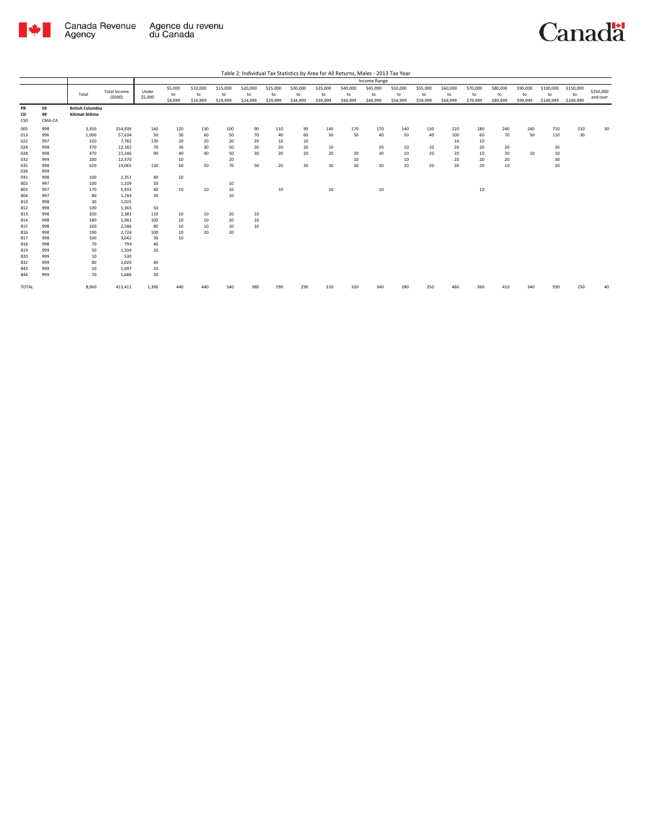

|                 |                    |                                            |                     |         |         |          |          |          |          |                 |          |          | Income Range |          |          |          |          |          |          |           |           |           |
|-----------------|--------------------|--------------------------------------------|---------------------|---------|---------|----------|----------|----------|----------|-----------------|----------|----------|--------------|----------|----------|----------|----------|----------|----------|-----------|-----------|-----------|
|                 |                    |                                            | <b>Total Income</b> | Under   | \$5,000 | \$10,000 | \$15,000 | \$20,000 | \$25,000 | \$30,000        | \$35,000 | \$40,000 | \$45,000     | \$50,000 | \$55,000 | \$60,000 | \$70,000 | \$80,000 | \$90,000 | \$100,000 | \$150,000 | \$250,000 |
|                 |                    | Total                                      | (5000)              | \$5,000 | to      | to       | to       | to       | to       | to              | to       | to       | to           | to       | to       | to       | to       | to       | to       | to        | to        | and over  |
|                 |                    |                                            |                     |         | \$9,999 | \$14,999 | \$19,999 | \$24,999 | \$29,999 | \$34,999        | \$39,999 | \$44,999 | \$49,999     | \$54,999 | \$59,999 | \$69,999 | \$79,999 | \$89,999 | \$99,999 | \$149,999 | \$249,999 |           |
| PR<br>CD<br>CSD | 59<br>49<br>CMA-CA | <b>British Columbia</b><br>Kitimat-Stikine |                     |         |         |          |          |          |          |                 |          |          |              |          |          |          |          |          |          |           |           |           |
| 005             | 998                | 3,350                                      | 254,939             | 140     | 120     | 130      | 100      | 90       | 110      | 90              | 140      | 170      | 170          | 140      | 130      | 220      | 180      | 240      | 240      | 710       | 210       | 30        |
| 013             | 996                | 1,000                                      | 57,634              | 50      | 30      | 60       | 50       | 70       | 40       | 60              | 50       | 50       | 40           | 50       | 40       | 100      | 60       | 70       | 50       | 110       | 30        |           |
| 022             | 997                | 320                                        | 7,782               | 130     | 20      | 20       | 20       | 20       | 10       | 10              |          |          |              |          |          | 10       | 10       |          |          |           |           |           |
| 024             | 998                | 370                                        | 12,182              | 70      | 30      | 30       | 50       | 20       | 20       | 20              | 10       |          | 20           | 10       | 10       | 20       | 20       | 20       |          | 20        |           |           |
| 028             | 998                | 470                                        | 15,246              | 90      | 40      | 40       | 50       | 30       | 20       | 20              | 20       | 20       | 30           | 10       | 20       | 20       | 10       | 20       | 10       | 10        |           |           |
| 032             | 999                | 200                                        | 12,370              |         | 10      |          | 20       |          |          |                 |          | 10       |              | 10       |          | 20       | 20       | 20       |          | 30        |           |           |
| 035             | 998                | 620                                        | 19,065              | 130     | 60      | 50       | 70       | 50       | 20       | 30 <sub>o</sub> | 30       | 30       | 30           | 20       | 20       | 30       | 20       | 10       |          | 20        |           |           |
| 039             | 999                |                                            |                     |         |         |          |          |          |          |                 |          |          |              |          |          |          |          |          |          |           |           |           |
| 041             | 998                | 100                                        | 2,351               | 40      | 10      |          |          |          |          |                 |          |          |              |          |          |          |          |          |          |           |           |           |
| 802             | 997                | 100                                        | 1,109               | 50      |         |          | 10       |          |          |                 |          |          |              |          |          |          |          |          |          |           |           |           |
| 803             | 997                | 170                                        | 5,933               | 40      | 10      | 10       | $10\,$   |          | 10       |                 | 10       |          | 10           |          |          |          | 10       |          |          |           |           |           |
| 804             | 997                | 80                                         | 1,744               | 30      |         |          | 10       |          |          |                 |          |          |              |          |          |          |          |          |          |           |           |           |
| 810             | 998                | 30                                         | 1,025               |         |         |          |          |          |          |                 |          |          |              |          |          |          |          |          |          |           |           |           |
| 812             | 998                | 100                                        | 1,365               | 50      |         |          |          |          |          |                 |          |          |              |          |          |          |          |          |          |           |           |           |
| 813             | 998                | 200                                        | 2,381               | 110     | 10      | 10       | 20       | 10       |          |                 |          |          |              |          |          |          |          |          |          |           |           |           |
| 814             | 998                | 180                                        | 1,942               | 100     | 10      | 10       | 20       | 10       |          |                 |          |          |              |          |          |          |          |          |          |           |           |           |
| 815             | 998                | 160                                        | 2,546               | 80      | 10      | 10       | 10       | 10       |          |                 |          |          |              |          |          |          |          |          |          |           |           |           |
| 816             | 998                | 190                                        | 2,724               | 100     | 10      | 20       | 20       |          |          |                 |          |          |              |          |          |          |          |          |          |           |           |           |
| 817             | 998                | 100                                        | 3,042               | 30      | 10      |          |          |          |          |                 |          |          |              |          |          |          |          |          |          |           |           |           |
| 818             | 998                | 70                                         | 794                 | 40      |         |          |          |          |          |                 |          |          |              |          |          |          |          |          |          |           |           |           |
| 819             | 999                | 50                                         | 1,504               | 20      |         |          |          |          |          |                 |          |          |              |          |          |          |          |          |          |           |           |           |
| 820             | 999                | 10                                         | 530                 |         |         |          |          |          |          |                 |          |          |              |          |          |          |          |          |          |           |           |           |
| 832             | 999                | 80                                         | 2,020               | 40      |         |          |          |          |          |                 |          |          |              |          |          |          |          |          |          |           |           |           |
| 843             | 999                | 50                                         | 1,497               | 20      |         |          |          |          |          |                 |          |          |              |          |          |          |          |          |          |           |           |           |
| 844             | 999                | 70                                         | 1,686               | 20      |         |          |          |          |          |                 |          |          |              |          |          |          |          |          |          |           |           |           |
| TOTAL           |                    | 8,060                                      | 413,411             | 1,390   | 440     |          | 540      | 380      | 290      | 290             | 310      | 320      | 340          | 280      | 250      | 460      | 360      | 410      | 340      | 930       | 250       | 40        |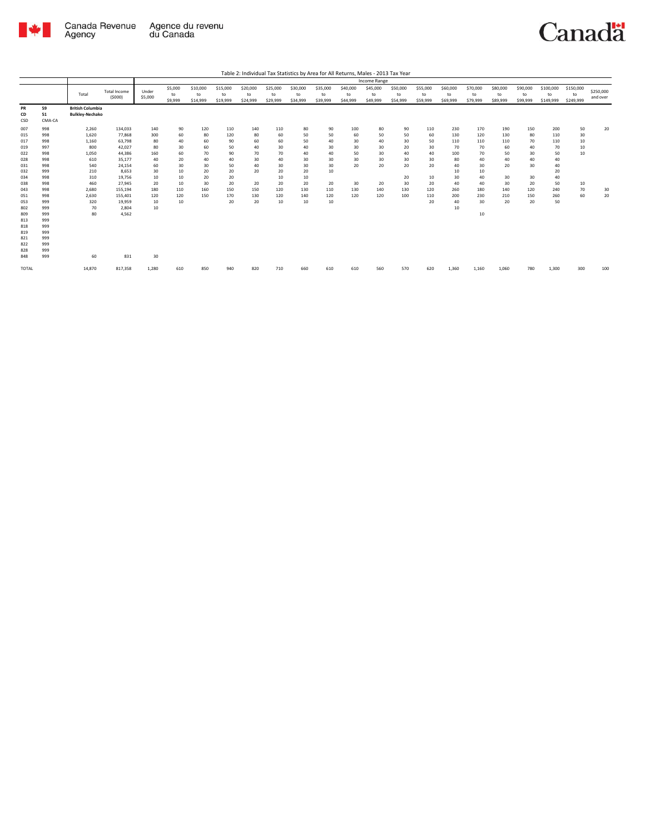

|                                                                                                                                          |                                                                                                                                          |                                                                                                                 |                                                                                                                                                    |                                                                                       |                                                                              |                                                                         |                                                                                |                                                                         |                                                                               |                                                                              |                                                                        |                                                             | Income Range                                               |                                                                  |                                                                         |                                                                                        |                                                                                       |                                                                           |                                                                         |                                                                                 |                                              |                       |
|------------------------------------------------------------------------------------------------------------------------------------------|------------------------------------------------------------------------------------------------------------------------------------------|-----------------------------------------------------------------------------------------------------------------|----------------------------------------------------------------------------------------------------------------------------------------------------|---------------------------------------------------------------------------------------|------------------------------------------------------------------------------|-------------------------------------------------------------------------|--------------------------------------------------------------------------------|-------------------------------------------------------------------------|-------------------------------------------------------------------------------|------------------------------------------------------------------------------|------------------------------------------------------------------------|-------------------------------------------------------------|------------------------------------------------------------|------------------------------------------------------------------|-------------------------------------------------------------------------|----------------------------------------------------------------------------------------|---------------------------------------------------------------------------------------|---------------------------------------------------------------------------|-------------------------------------------------------------------------|---------------------------------------------------------------------------------|----------------------------------------------|-----------------------|
|                                                                                                                                          |                                                                                                                                          | Total                                                                                                           | <b>Total Income</b><br>(5000)                                                                                                                      | Under<br>\$5,000                                                                      | \$5,000<br>to<br>\$9,999                                                     | \$10,000<br>to<br>\$14,999                                              | \$15,000<br>to<br>\$19,999                                                     | \$20,000<br>to<br>\$24,999                                              | \$25,000<br>to<br>\$29,999                                                    | \$30,000<br>to<br>\$34,999                                                   | \$35,000<br>to<br>\$39,999                                             | \$40,000<br>to<br>\$44,999                                  | \$45,000<br>to<br>\$49,999                                 | \$50,000<br>to<br>\$54,999                                       | \$55,000<br>to<br>\$59,999                                              | \$60,000<br>to<br>\$69,999                                                             | \$70,000<br>to<br>\$79,999                                                            | \$80,000<br>to<br>\$89,999                                                | \$90,000<br>to<br>\$99,999                                              | \$100,000<br>to<br>\$149,999                                                    | \$150,000<br>to<br>\$249,999                 | \$250,000<br>and over |
| PR<br>CD<br>CSD                                                                                                                          | 59<br>51<br>CMA-CA                                                                                                                       | <b>British Columbia</b><br><b>Bulkley-Nechako</b>                                                               |                                                                                                                                                    |                                                                                       |                                                                              |                                                                         |                                                                                |                                                                         |                                                                               |                                                                              |                                                                        |                                                             |                                                            |                                                                  |                                                                         |                                                                                        |                                                                                       |                                                                           |                                                                         |                                                                                 |                                              |                       |
| 007<br>015<br>017<br>019<br>022<br>028<br>031<br>032<br>034<br>038<br>043<br>051<br>053<br>802<br>809<br>813<br>818<br>819<br>821<br>822 | 998<br>998<br>998<br>997<br>998<br>998<br>998<br>999<br>998<br>998<br>998<br>998<br>999<br>999<br>999<br>999<br>999<br>999<br>999<br>999 | 2,260<br>1,620<br>1,160<br>800<br>1,050<br>610<br>540<br>210<br>310<br>460<br>2,680<br>2,630<br>320<br>70<br>80 | 134,033<br>77,868<br>63,798<br>42,027<br>44,386<br>35,177<br>24.154<br>8,653<br>19,756<br>27,945<br>155,194<br>155,401<br>19,959<br>2,804<br>4,562 | 140<br>300<br>80<br>80<br>160<br>40<br>60<br>30<br>10<br>20<br>180<br>120<br>10<br>10 | 90<br>60<br>40<br>30<br>60<br>20<br>30<br>10<br>10<br>10<br>110<br>120<br>10 | 120<br>80<br>60<br>60<br>70<br>40<br>30<br>20<br>20<br>30<br>160<br>150 | 110<br>120<br>90<br>50<br>90<br>40<br>50<br>20<br>20<br>20<br>150<br>170<br>20 | 140<br>80<br>60<br>40<br>70<br>30<br>40<br>20<br>20<br>150<br>130<br>20 | 110<br>60<br>60<br>30<br>70<br>40<br>30<br>20<br>10<br>20<br>120<br>120<br>10 | 80<br>50<br>50<br>40<br>40<br>30<br>30<br>20<br>10<br>20<br>130<br>140<br>10 | 90<br>50<br>40<br>30<br>40<br>30<br>30<br>10<br>20<br>110<br>120<br>10 | 100<br>60<br>30<br>30<br>50<br>30<br>20<br>30<br>130<br>120 | 80<br>50<br>40<br>30<br>30<br>30<br>20<br>20<br>140<br>120 | 90<br>50<br>30<br>20<br>40<br>30<br>20<br>20<br>30<br>130<br>100 | 110<br>60<br>50<br>30<br>40<br>30<br>20<br>10<br>20<br>120<br>110<br>20 | 230<br>130<br>110<br>70<br>100<br>80<br>40<br>10<br>30<br>40<br>260<br>200<br>40<br>10 | 170<br>120<br>110<br>70<br>70<br>40<br>30<br>10<br>40<br>40<br>180<br>230<br>30<br>10 | 190<br>130<br>110<br>60<br>50<br>40<br>20<br>30<br>30<br>140<br>210<br>20 | 150<br>80<br>70<br>40<br>30<br>40<br>30<br>30<br>20<br>120<br>150<br>20 | 200<br>110<br>110<br>70<br>50<br>40<br>40<br>20<br>40<br>50<br>240<br>260<br>50 | 50<br>30<br>10<br>10<br>10<br>10<br>70<br>60 | 20<br>30<br>20        |
| 828<br>848<br><b>TOTAL</b>                                                                                                               | 999<br>999                                                                                                                               | 60<br>14,870                                                                                                    | 831<br>817,358                                                                                                                                     | 30<br>1,280                                                                           | 610                                                                          | 850                                                                     | 940                                                                            | 820                                                                     | 710                                                                           | 660                                                                          | 610                                                                    | 610                                                         | 560                                                        | 570                                                              | 620                                                                     | 1,360                                                                                  | 1,160                                                                                 | 1.060                                                                     | 780                                                                     | 1,300                                                                           | 300                                          | 100                   |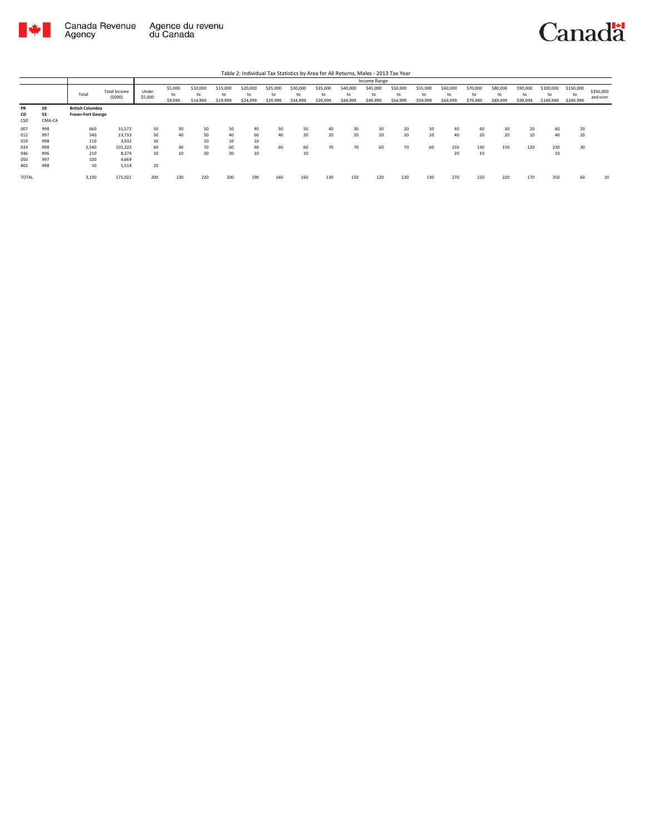

|                        |                    |                                                      |                        |                  |                          |                            |                            |                            |                            |                            |                            |                            | Income Range               |                            |                            |                            |                            |                            |                            |                              |                              |                       |
|------------------------|--------------------|------------------------------------------------------|------------------------|------------------|--------------------------|----------------------------|----------------------------|----------------------------|----------------------------|----------------------------|----------------------------|----------------------------|----------------------------|----------------------------|----------------------------|----------------------------|----------------------------|----------------------------|----------------------------|------------------------------|------------------------------|-----------------------|
|                        |                    | Total                                                | Total Income<br>(5000) | Under<br>\$5,000 | \$5,000<br>to<br>\$9,999 | \$10,000<br>to<br>\$14,999 | \$15,000<br>to<br>\$19,999 | \$20,000<br>to<br>\$24,999 | \$25,000<br>to<br>\$29,999 | \$30,000<br>to<br>\$34,999 | \$35,000<br>to<br>\$39,999 | \$40,000<br>to<br>\$44,999 | \$45,000<br>to<br>\$49,999 | \$50,000<br>to<br>\$54,999 | \$55,000<br>to<br>\$59,999 | \$60,000<br>to<br>\$69,999 | \$70,000<br>to<br>\$79,999 | \$80,000<br>to<br>\$89,999 | \$90,000<br>to<br>\$99,999 | \$100,000<br>to<br>\$149,999 | \$150,000<br>to<br>\$249,999 | \$250,000<br>and over |
| <b>PR</b><br>CD<br>CSD | 59<br>53<br>CMA-CA | <b>British Columbia</b><br><b>Fraser-Fort George</b> |                        |                  |                          |                            |                            |                            |                            |                            |                            |                            |                            |                            |                            |                            |                            |                            |                            |                              |                              |                       |
| 007                    | 998                | 660                                                  | 31,572                 | 50               | 30                       | 50                         | 50                         | 40                         | 50                         | 50                         | 40                         | 30                         | 30                         | 20                         | 30                         |                            | 40                         | 30                         | 20                         | 60                           | 20                           |                       |
| 012                    | 997                | 540                                                  | 23,733                 | 50               | 40                       | 50                         | 40                         | 60                         | 40                         | 20                         | 20                         | 20                         | 20                         | 20                         | 20                         | 40                         | 20                         | 20                         | 10                         | 40                           | 20                           |                       |
| 019                    | 998                | 110                                                  | 3.932                  | 10               |                          | 10                         | 10                         | 10                         |                            |                            |                            |                            |                            |                            |                            |                            |                            |                            |                            |                              |                              |                       |
| 033                    | 998                | 1.540                                                | 101.223                | 60               | 40                       | 70                         | 60                         | 60                         | 60                         | 60                         | 70                         | 70                         | 60                         | 70                         | 60                         | 150                        | 130                        | 150                        | 120                        | 230                          | 30                           |                       |
| 046                    | 996                | 210                                                  | 8.374                  | 10               | 10                       | 30                         | 30                         | 10                         |                            | 10                         |                            |                            |                            |                            |                            | 20                         | 10                         |                            |                            | 10                           |                              |                       |
| 050                    | 997                | 100                                                  | 4,669                  |                  |                          |                            |                            |                            |                            |                            |                            |                            |                            |                            |                            |                            |                            |                            |                            |                              |                              |                       |
| 802                    | 998                | 50                                                   | 1,519                  | 20               |                          |                            |                            |                            |                            |                            |                            |                            |                            |                            |                            |                            |                            |                            |                            |                              |                              |                       |
| <b>TOTAL</b>           |                    | 3,190                                                | 175,022                | 200              | 130                      | 220                        | 200                        | 190                        | 160                        | 160                        | 130                        | 150                        | 120                        | 130                        | 130                        | 270                        | 220                        | 220                        | 170                        | 350                          | 60                           | 10                    |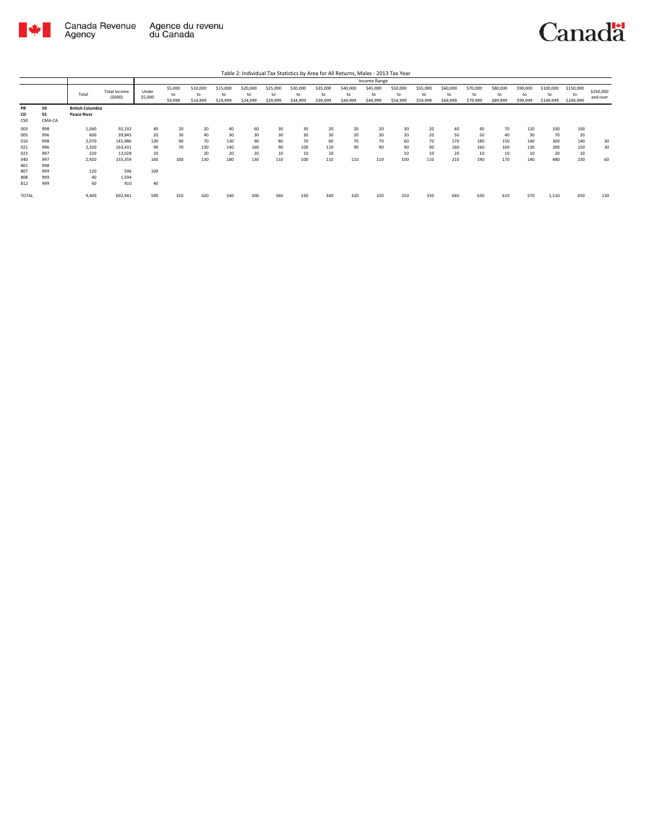

|                 |                    |                                               |                               |                  |                          |                            |                            |                            |                            |                            |                            |                            | Income Range               |                            |                            |                            |                            |                            |                            |                              |                              |                       |
|-----------------|--------------------|-----------------------------------------------|-------------------------------|------------------|--------------------------|----------------------------|----------------------------|----------------------------|----------------------------|----------------------------|----------------------------|----------------------------|----------------------------|----------------------------|----------------------------|----------------------------|----------------------------|----------------------------|----------------------------|------------------------------|------------------------------|-----------------------|
|                 |                    | Total                                         | <b>Total Income</b><br>(5000) | Under<br>\$5,000 | \$5,000<br>to<br>\$9,999 | \$10,000<br>to<br>\$14,999 | \$15,000<br>to<br>\$19,999 | \$20,000<br>to<br>\$24,999 | \$25,000<br>to<br>\$29,999 | \$30,000<br>to<br>\$34,999 | \$35,000<br>to<br>\$39,999 | \$40,000<br>to<br>\$44,999 | \$45,000<br>to<br>\$49,999 | \$50,000<br>to<br>\$54,999 | \$55,000<br>to<br>\$59,999 | \$60,000<br>to<br>\$69,999 | \$70,000<br>to<br>\$79,999 | \$80,000<br>to<br>\$89,999 | \$90,000<br>to<br>\$99,999 | \$100,000<br>to<br>\$149,999 | \$150,000<br>to<br>\$249,999 | \$250,000<br>and over |
| PR<br>CD<br>CSD | 59<br>55<br>CMA-CA | <b>British Columbia</b><br><b>Peace River</b> |                               |                  |                          |                            |                            |                            |                            |                            |                            |                            |                            |                            |                            |                            |                            |                            |                            |                              |                              |                       |
| 003             | 998                | 1,040                                         | 92,192                        | 40               | 20                       | 20                         | 40                         | 60                         | 30                         | 30                         | 20                         | 20                         | 20                         | 30                         | 20                         | 40                         | 40                         | 70                         | 120                        | 330                          | 100                          |                       |
| 005             | 996                | 600                                           | 39,845                        | 20               | 30                       | 40                         | 30                         | 30                         | 30                         | 30                         | 30                         | 20                         | 30                         | 20                         | 20                         | 50                         | 50                         | 40                         | 30                         | 70                           | 20                           |                       |
| 010             | 998                | 2,070                                         | 145,986                       | 130              | 90                       | 70                         | 130                        | 90                         | 80                         | 70                         | 60                         | 70                         | 70                         | 60                         | 70                         | 170                        | 180                        | 150                        | 140                        | 300                          | 140                          | 30                    |
| 021             | 996                | 2.320                                         | 163,431                       | 90               | 70                       | 130                        | 140                        | 160                        | 90                         | 100                        | 110                        | 90                         | 90                         | 90                         | 90                         | 160                        | 160                        | 160                        | 130                        | 300                          | 150                          | 30                    |
| 023             | 997                | 220                                           | 13,028                        | 10               |                          | 20                         | 20                         | 20                         | 10                         | 10                         | 10                         |                            |                            | 10                         | 10                         | 20                         | 10                         | 10                         | 10                         | 20                           | 10                           |                       |
| 040             | 997                | 2,920                                         | 235,359                       | 160              | 100                      | 130                        | 180                        | 130                        | 110                        | 100                        | 110                        | 110                        | 110                        | 100                        | 110                        | 210                        | 190                        | 170                        | 140                        | 480                          | 230                          | 60                    |
| 801             | 998                |                                               |                               |                  |                          |                            |                            |                            |                            |                            |                            |                            |                            |                            |                            |                            |                            |                            |                            |                              |                              |                       |
| 807             | 999                | 120                                           | 596                           | 100              |                          |                            |                            |                            |                            |                            |                            |                            |                            |                            |                            |                            |                            |                            |                            |                              |                              |                       |
| 808             | 999                | 40                                            | 1.594                         |                  |                          |                            |                            |                            |                            |                            |                            |                            |                            |                            |                            |                            |                            |                            |                            |                              |                              |                       |
| 812             | 999                | 60                                            | 910                           | 40               |                          |                            |                            |                            |                            |                            |                            |                            |                            |                            |                            |                            |                            |                            |                            |                              |                              |                       |
| TOTAL           |                    | 9,400                                         | 692,941                       | 590              | 310                      | 420                        | 540                        | 500                        | 360                        | 330                        | 340                        | 320                        | 320                        | 310                        | 330                        | 640                        | 630                        | 610                        | 570                        | 1,510                        | 650                          | 130                   |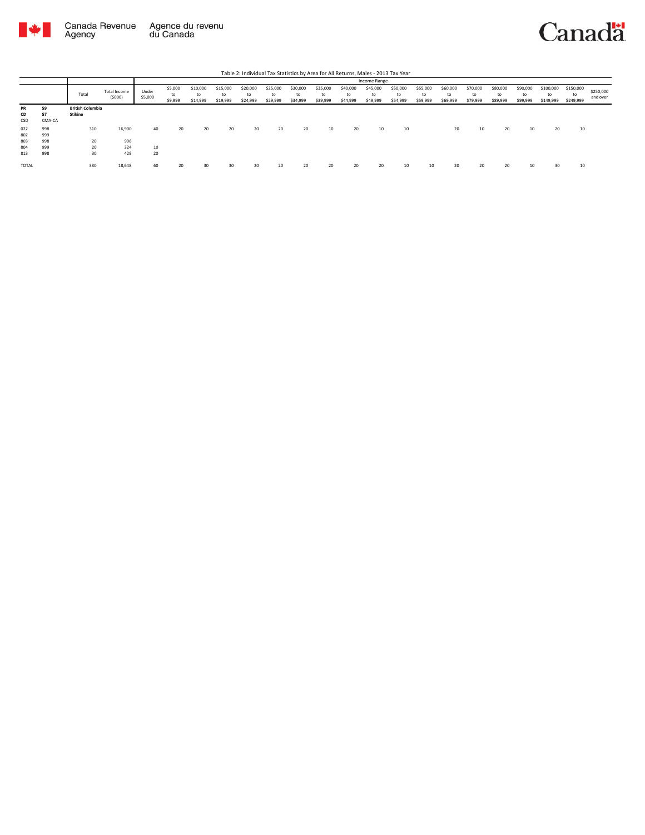



|              |        |                         |                        |                  |                          |                            |                            |                            |                            |                      |                            |                            | Income Range               |                            |                            |                            |                            |                            |                            |                              |                              |                       |
|--------------|--------|-------------------------|------------------------|------------------|--------------------------|----------------------------|----------------------------|----------------------------|----------------------------|----------------------|----------------------------|----------------------------|----------------------------|----------------------------|----------------------------|----------------------------|----------------------------|----------------------------|----------------------------|------------------------------|------------------------------|-----------------------|
|              |        | Total                   | Total Income<br>(5000) | Under<br>\$5,000 | \$5,000<br>to<br>\$9,999 | \$10,000<br>to<br>\$14,999 | \$15,000<br>to<br>\$19,999 | \$20,000<br>to<br>\$24,999 | \$25,000<br>to<br>\$29,999 | \$30,000<br>\$34,999 | \$35,000<br>to<br>\$39,999 | \$40,000<br>to<br>\$44,999 | \$45,000<br>to<br>\$49,999 | \$50,000<br>to<br>\$54,999 | \$55,000<br>to<br>\$59,999 | \$60,000<br>to<br>\$69,999 | \$70,000<br>to<br>\$79,999 | \$80,000<br>to<br>\$89,999 | \$90,000<br>to<br>\$99,999 | \$100,000<br>to<br>\$149,999 | \$150,000<br>to<br>\$249,999 | \$250,000<br>and over |
| <b>PR</b>    | 59     | <b>British Columbia</b> |                        |                  |                          |                            |                            |                            |                            |                      |                            |                            |                            |                            |                            |                            |                            |                            |                            |                              |                              |                       |
| CD           | 57     | <b>Stikine</b>          |                        |                  |                          |                            |                            |                            |                            |                      |                            |                            |                            |                            |                            |                            |                            |                            |                            |                              |                              |                       |
| CSD          | CMA-CA |                         |                        |                  |                          |                            |                            |                            |                            |                      |                            |                            |                            |                            |                            |                            |                            |                            |                            |                              |                              |                       |
| 022          | 998    | 310                     | 16,900                 | 40               | 20                       | 20                         | 20                         | 20                         | 20                         | 20                   | 10                         | 20                         | 10                         | 10                         |                            | 20                         | 10                         | 20                         | 10                         | 20                           | 10                           |                       |
| 802          | 999    |                         |                        |                  |                          |                            |                            |                            |                            |                      |                            |                            |                            |                            |                            |                            |                            |                            |                            |                              |                              |                       |
| 803          | 998    | 20                      | 996                    |                  |                          |                            |                            |                            |                            |                      |                            |                            |                            |                            |                            |                            |                            |                            |                            |                              |                              |                       |
| 804          | 999    | 20                      | 324                    | 10               |                          |                            |                            |                            |                            |                      |                            |                            |                            |                            |                            |                            |                            |                            |                            |                              |                              |                       |
| 813          | 998    | 30                      | 428                    | 20               |                          |                            |                            |                            |                            |                      |                            |                            |                            |                            |                            |                            |                            |                            |                            |                              |                              |                       |
| <b>TOTAL</b> |        | 380                     | 18,648                 | 60               | 20                       |                            | 30                         | 20                         |                            | 20                   | 20                         | 20                         | 20                         | 10                         | 10                         | 20                         | 20                         |                            | 10                         | 30                           | 10                           |                       |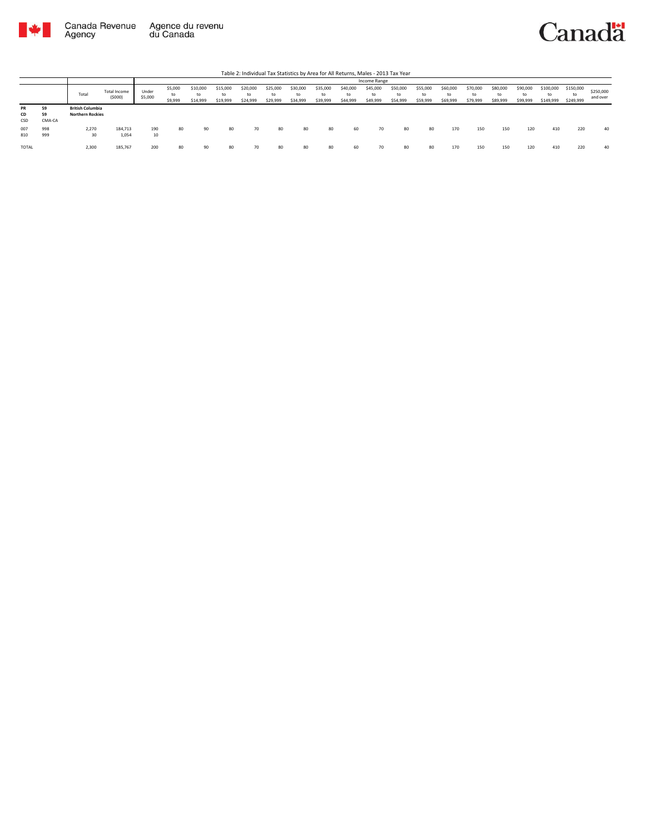



|                        |                    |                                                    |                        |                  |                          |                            |                            |                            |                            |                            |                            | .                          |                            |                            |                            |                            |                            |                            |                            |                              |                              |                       |
|------------------------|--------------------|----------------------------------------------------|------------------------|------------------|--------------------------|----------------------------|----------------------------|----------------------------|----------------------------|----------------------------|----------------------------|----------------------------|----------------------------|----------------------------|----------------------------|----------------------------|----------------------------|----------------------------|----------------------------|------------------------------|------------------------------|-----------------------|
|                        |                    |                                                    |                        |                  |                          |                            |                            |                            |                            |                            |                            |                            | Income Range               |                            |                            |                            |                            |                            |                            |                              |                              |                       |
|                        |                    | Total                                              | Total Income<br>(5000) | Under<br>\$5,000 | \$5,000<br>to<br>\$9,999 | \$10,000<br>to<br>\$14,999 | \$15,000<br>to<br>\$19,999 | \$20,000<br>to<br>\$24,999 | \$25,000<br>to<br>\$29,999 | \$30,000<br>to<br>\$34,999 | \$35,000<br>to<br>\$39,999 | \$40,000<br>to<br>\$44,999 | \$45,000<br>to<br>\$49,999 | \$50,000<br>to<br>\$54,999 | \$55,000<br>to<br>\$59,999 | \$60,000<br>to<br>\$69,999 | \$70,000<br>to<br>\$79,999 | \$80,000<br>to<br>\$89,999 | \$90,000<br>to<br>\$99,999 | \$100,000<br>to<br>\$149,999 | \$150,000<br>to<br>\$249,999 | \$250,000<br>and over |
| <b>PR</b><br>CD<br>CSD | 59<br>59<br>CMA-CA | <b>British Columbia</b><br><b>Northern Rockies</b> |                        |                  |                          |                            |                            |                            |                            |                            |                            |                            |                            |                            |                            |                            |                            |                            |                            |                              |                              |                       |
| 007<br>810             | 998<br>999         | 2,270<br>30                                        | 184,713<br>1,054       | 190<br>10        | 80                       | 90                         | 80                         | 70                         | 80                         | 80                         | 80                         | 60                         | 70                         | 80                         | 80                         | 170                        | 150                        | 150                        | 120                        | 410                          | 220                          | 40                    |
| TOTAL                  |                    | 2,300                                              | 185,767                | 200              | 80                       | 90                         | 80                         | 70                         | 80                         | 80                         | 80                         | 60                         | 70                         | 80                         | 80                         | 170                        | 150                        | 150                        | 120                        | 410                          | 220                          | 40                    |